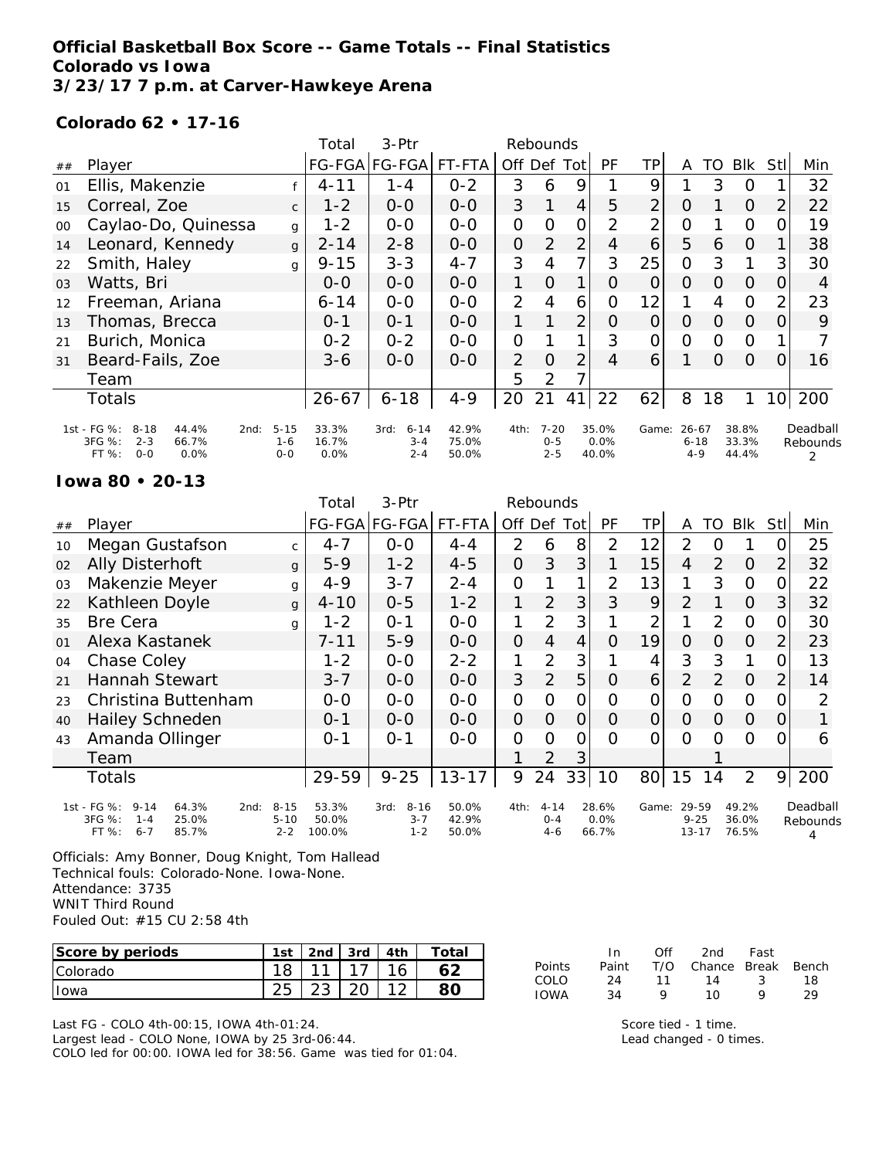## **Official Basketball Box Score -- Game Totals -- Final Statistics Colorado vs Iowa 3/23/17 7 p.m. at Carver-Hawkeye Arena**

### **Colorado 62 • 17-16**

|        |                                                                                                    |                                | Total                  | 3-Ptr                                  |                         |                | Rebounds                       |                |                        |                |                                  |          |                         |                 |                           |
|--------|----------------------------------------------------------------------------------------------------|--------------------------------|------------------------|----------------------------------------|-------------------------|----------------|--------------------------------|----------------|------------------------|----------------|----------------------------------|----------|-------------------------|-----------------|---------------------------|
| ##     | Player                                                                                             |                                |                        | FG-FGA FG-FGA                          | FT-FTA                  | Off Def Tot    |                                |                | <b>PF</b>              | TP             | A                                | TO       | <b>BIK</b>              | Stll            | Min                       |
| 01     | Ellis, Makenzie                                                                                    |                                | $4 - 11$               | $1 - 4$                                | $0 - 2$                 | 3              | 6                              | 9              |                        | 9              |                                  | 3        | O                       |                 | 32                        |
| 15     | Correal, Zoe                                                                                       | $\mathsf{C}$                   | $1 - 2$                | $0-0$                                  | $0-0$                   | 3              |                                | $\overline{4}$ | 5                      | 2              | O                                |          | $\Omega$                | $\overline{2}$  | 22                        |
| $00\,$ | Caylao-Do, Quinessa                                                                                | g                              | $1 - 2$                | $0-0$                                  | $0-0$                   | $\mathcal{O}$  | O                              | O              | $\overline{2}$         | $\overline{2}$ | $\overline{O}$                   |          | O                       | 0               | 19                        |
| 14     | Leonard, Kennedy                                                                                   | $\mathbf{q}$                   | $2 - 14$               | $2 - 8$                                | $0 - 0$                 | $\overline{O}$ | 2                              | $\overline{2}$ | 4                      | 6              | 5                                | 6        | 0                       |                 | 38                        |
| 22     | Smith, Haley                                                                                       | g                              | $9 - 15$               | $3 - 3$                                | $4 - 7$                 | 3              | 4                              | 7              | 3                      | 25             | $\Omega$                         | 3        | 1                       | 3               | 30                        |
| 03     | Watts, Bri                                                                                         |                                | $0 - 0$                | $0-0$                                  | $0 - 0$                 | $\mathbf{1}$   | $\Omega$                       | 1              | $\Omega$               | 0              | $\Omega$                         | 0        | $\Omega$                | O               | 4                         |
| 12     | Freeman, Ariana                                                                                    |                                | $6 - 14$               | $0 - 0$                                | $0-0$                   | 2              | 4                              | 6              | 0                      | 12             |                                  | 4        | $\Omega$                | $\overline{2}$  | 23                        |
| 13     | Thomas, Brecca                                                                                     |                                | $0 - 1$                | $O - 1$                                | $0 - 0$                 |                |                                | $\overline{2}$ | $\Omega$               | 0              | 0                                | 0        | 0                       | $\Omega$        | 9                         |
| 21     | Burich, Monica                                                                                     |                                | $0 - 2$                | $0 - 2$                                | $0-0$                   | 0              |                                | 1              | 3                      | 0              | $\Omega$                         | $\Omega$ | $\Omega$                |                 |                           |
| 31     | Beard-Fails, Zoe                                                                                   |                                | $3 - 6$                | $0 - 0$                                | $0 - 0$                 | $\overline{2}$ | $\Omega$                       | $\overline{2}$ | 4                      | 6              |                                  | $\Omega$ | $\Omega$                | 0               | 16                        |
|        | Team                                                                                               |                                |                        |                                        |                         | 5              | 2                              |                |                        |                |                                  |          |                         |                 |                           |
|        | <b>Totals</b>                                                                                      |                                | $26 - 67$              | $6 - 18$                               | $4 - 9$                 | 20             | 21                             | 41             | 22                     | 62             | 8                                | 18       | 1                       | 10 <sup>1</sup> | 200                       |
|        | 1st - FG %:<br>$8 - 18$<br>44.4%<br>2nd:<br>3FG %:<br>$2 - 3$<br>66.7%<br>FT %:<br>$O - O$<br>0.0% | $5 - 15$<br>$1 - 6$<br>$0 - 0$ | 33.3%<br>16.7%<br>0.0% | $6 - 14$<br>3rd:<br>$3 - 4$<br>$2 - 4$ | 42.9%<br>75.0%<br>50.0% | 4th:           | $7 - 20$<br>$0 - 5$<br>$2 - 5$ |                | 35.0%<br>0.0%<br>40.0% | Game:          | $26 - 67$<br>$6 - 18$<br>$4 - 9$ |          | 38.8%<br>33.3%<br>44.4% |                 | Deadball<br>Rebounds<br>2 |

#### **Iowa 80 • 20-13**

|    |                                                                                                       |                                 | Total                    | 3-Ptr                                  |                         |                | Rebounds                       |                |                        |                |                                |    |                         |                |                           |
|----|-------------------------------------------------------------------------------------------------------|---------------------------------|--------------------------|----------------------------------------|-------------------------|----------------|--------------------------------|----------------|------------------------|----------------|--------------------------------|----|-------------------------|----------------|---------------------------|
| ## | Player                                                                                                |                                 |                          | FG-FGA FG-FGA                          | FT-FTA                  |                | Off Def Tot                    |                | PF                     | ΤP             | A                              | TO | <b>Blk</b>              | <b>Stl</b>     | Min                       |
| 10 | Megan Gustafson                                                                                       | $\mathsf{C}$                    | $4 - 7$                  | $0-0$                                  | $4 - 4$                 | 2              | 6                              | 8              | 2                      | 12             | $\overline{2}$                 | Ο  |                         | 0              | 25                        |
| 02 | <b>Ally Disterhoft</b>                                                                                | $\mathbf{q}$                    | $5-9$                    | $1 - 2$                                | $4 - 5$                 | $\overline{O}$ | 3                              | 3              |                        | 15             | 4                              | 2  | O                       | $\overline{2}$ | 32                        |
| 03 | Makenzie Meyer                                                                                        | g                               | $4 - 9$                  | $3 - 7$                                | $2 - 4$                 | $\Omega$       |                                | 1              | 2                      | 13             | 1                              | 3  | $\Omega$                | 0              | 22                        |
| 22 | Kathleen Doyle                                                                                        | g                               | $4 - 10$                 | $0 - 5$                                | $1 - 2$                 | 1              | $\overline{2}$                 | 3              | 3                      | 9              | $\overline{2}$                 |    | $\Omega$                | 3              | 32                        |
| 35 | <b>Bre Cera</b>                                                                                       | q                               | $1 - 2$                  | $0 - 1$                                | $0 - 0$                 | 1              | $\overline{2}$                 | 3              |                        | 2              |                                | 2  | $\mathcal{O}$           | 0              | 30                        |
| 01 | Alexa Kastanek                                                                                        |                                 | $7 - 11$                 | $5 - 9$                                | $0 - 0$                 | $\overline{O}$ | $\overline{4}$                 | 4              | $\Omega$               | 19             | $\Omega$                       | 0  | $\Omega$                | $\overline{2}$ | 23                        |
| 04 | Chase Coley                                                                                           |                                 | $1 - 2$                  | $0 - 0$                                | $2 - 2$                 | 1              | $\overline{2}$                 | 3              |                        | 4              | 3                              | 3  |                         | 0              | 13                        |
| 21 | <b>Hannah Stewart</b>                                                                                 |                                 | $3 - 7$                  | $0 - 0$                                | $0 - 0$                 | 3              | $\overline{2}$                 | 5              | O                      | 6              | $\overline{2}$                 | 2  | $\overline{0}$          | $\overline{2}$ | 14                        |
| 23 | Christina Buttenham                                                                                   |                                 | $0-0$                    | $0 - 0$                                | $0 - 0$                 | $\overline{O}$ | 0                              | $\overline{O}$ | O                      | 0              | 0                              | 0  | $\Omega$                | 0              | 2                         |
| 40 | <b>Hailey Schneden</b>                                                                                |                                 | $0 - 1$                  | $0 - 0$                                | $0 - 0$                 | $\overline{O}$ | $\Omega$                       | $\overline{O}$ | O                      | $\overline{O}$ | $\Omega$                       | 0  | $\overline{O}$          | 0              |                           |
| 43 | Amanda Ollinger                                                                                       |                                 | $0 - 1$                  | $O - 1$                                | $0 - 0$                 | $\Omega$       | $\Omega$                       | 0              | $\Omega$               | 0              | $\Omega$                       | Ω  | $\Omega$                | 0              | 6                         |
|    | Team                                                                                                  |                                 |                          |                                        |                         | 1              | $\overline{2}$                 | 3              |                        |                |                                |    |                         |                |                           |
|    | Totals                                                                                                |                                 | 29-59                    | $9 - 25$                               | $13 - 17$               | 9              | 24                             | 33             | 10                     | 80             | 15                             | 14 | $\overline{2}$          | 9              | 200                       |
|    | $1st - FG %:$<br>$9 - 14$<br>64.3%<br>2nd:<br>3FG %:<br>25.0%<br>$1 - 4$<br>FT %:<br>85.7%<br>$6 - 7$ | $8 - 15$<br>$5 - 10$<br>$2 - 2$ | 53.3%<br>50.0%<br>100.0% | $8 - 16$<br>3rd:<br>$3 - 7$<br>$1 - 2$ | 50.0%<br>42.9%<br>50.0% | 4th:           | $4 - 14$<br>$O - 4$<br>$4 - 6$ |                | 28.6%<br>0.0%<br>66.7% | Game:          | 29-59<br>$9 - 25$<br>$13 - 17$ |    | 49.2%<br>36.0%<br>76.5% |                | Deadball<br>Rebounds<br>4 |

Officials: Amy Bonner, Doug Knight, Tom Hallead Technical fouls: Colorado-None. Iowa-None. Attendance: 3735 WNIT Third Round Fouled Out: #15 CU 2:58 4th

| Score by periods | 1st | 2 <sub>nd</sub> | 3rd | 4 <sub>th</sub> | Total |
|------------------|-----|-----------------|-----|-----------------|-------|
| <b>Colorado</b>  |     |                 |     |                 |       |
| Towa             |     |                 |     |                 |       |

Last FG - COLO 4th-00:15, IOWA 4th-01:24.

Largest lead - COLO None, IOWA by 25 3rd-06:44.

COLO led for 00:00. IOWA led for 38:56. Game was tied for 01:04.

|        | In.   | Off | 2nd                | Fast |    |
|--------|-------|-----|--------------------|------|----|
| Points | Paint | T/O | Chance Break Bench |      |    |
| COLO   | 24    | 11  | 14                 | -3-  | 18 |
| IOWA   | 34    | o   | 10                 | o    | 29 |

Score tied - 1 time. Lead changed - 0 times.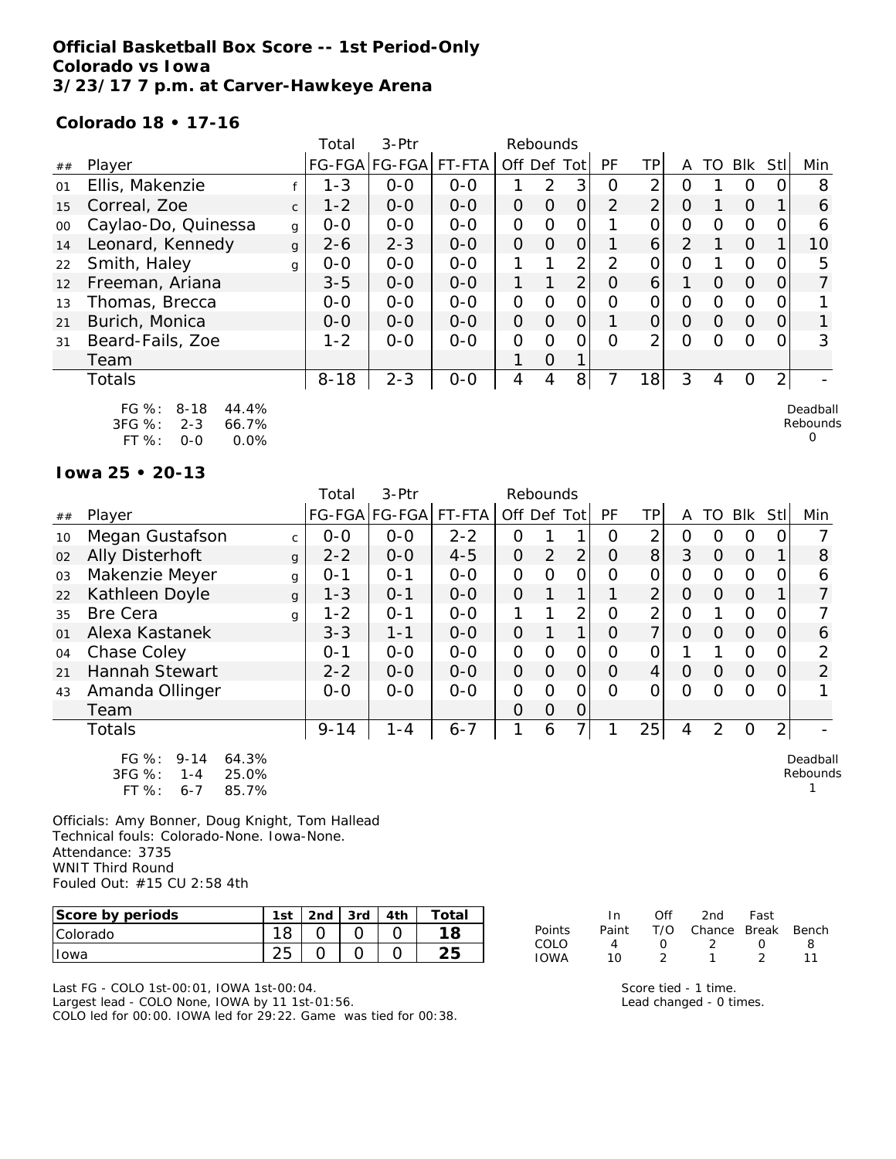## **Official Basketball Box Score -- 1st Period-Only Colorado vs Iowa 3/23/17 7 p.m. at Carver-Hawkeye Arena**

#### **Colorado 18 • 17-16**

|        |                                                                                                                 |              | Total    | $3-$ Ptr      |         | Rebounds       |          |                |                |                |                |          |                |                  |                           |
|--------|-----------------------------------------------------------------------------------------------------------------|--------------|----------|---------------|---------|----------------|----------|----------------|----------------|----------------|----------------|----------|----------------|------------------|---------------------------|
| ##     | Player                                                                                                          |              |          | FG-FGA FG-FGA | FT-FTA  | Off            | Def      | Totl           | <b>PF</b>      | TP             | A              | TO       | Blk            | Stl              | Min                       |
| 01     | Ellis, Makenzie                                                                                                 |              | $1 - 3$  | $0 - 0$       | $0 - 0$ |                | 2        | 3              | Ο              | 2              | Ο              |          | O              |                  | 8                         |
| 15     | Correal, Zoe                                                                                                    | $\mathsf{C}$ | $1 - 2$  | $0 - 0$       | $0 - 0$ | 0              | $\Omega$ | O              | $\overline{2}$ | $\overline{2}$ | $\Omega$       |          | $\Omega$       |                  | 6                         |
| $00\,$ | Caylao-Do, Quinessa                                                                                             | g            | $0 - 0$  | $0-0$         | $0-0$   | 0              | $\Omega$ | 0              |                | Ω              | O              | 0        | $\mathcal{O}$  |                  | 6                         |
| 14     | Leonard, Kennedy                                                                                                | $\mathbf{q}$ | $2 - 6$  | $2 - 3$       | $0 - 0$ | 0              | $\Omega$ | 0              |                | 6              | $\overline{2}$ |          | $\Omega$       |                  | 10                        |
| 22     | Smith, Haley                                                                                                    | g            | $0-0$    | $O-O$         | $0-0$   |                |          | $\overline{2}$ | $\overline{2}$ | 0              | $\Omega$       |          | $\Omega$       |                  | 5                         |
| 12     | Freeman, Ariana                                                                                                 |              | $3 - 5$  | $0-0$         | $0-0$   | 1              |          | $\overline{2}$ | O              | 6              |                | $\Omega$ | $\overline{O}$ | $\left( \right)$ |                           |
| 13     | Thomas, Brecca                                                                                                  |              | $0-0$    | $0 - 0$       | $0 - 0$ | 0              | $\Omega$ | $\Omega$       | 0              | $\Omega$       | $\Omega$       | $\Omega$ | $\Omega$       | $\left( \right)$ |                           |
| 21     | Burich, Monica                                                                                                  |              | $0-0$    | $0-0$         | $0-0$   | $\overline{O}$ | $\circ$  | O              |                | $\Omega$       | $\Omega$       | $\Omega$ | $\Omega$       | 0                |                           |
| 31     | Beard-Fails, Zoe                                                                                                |              | $1 - 2$  | $0 - 0$       | $0-0$   | 0              | $\Omega$ | 0              | $\Omega$       | $\overline{2}$ | $\Omega$       | $\Omega$ | $\Omega$       | $\Omega$         | 3                         |
|        | Team                                                                                                            |              |          |               |         | 1              | 0        |                |                |                |                |          |                |                  |                           |
|        | Totals                                                                                                          |              | $8 - 18$ | $2 - 3$       | $O-O$   | 4              | 4        | 8 <sup>1</sup> |                | 18             | 3              | 4        | $\Omega$       | 2                |                           |
|        | $FG \%$ :<br>$8 - 18$<br>44.4%<br>$3FG \%$<br>$2 - 3$<br>66.7%<br>$FT$ %.<br>$\cap$ $\cap\%$<br>$\cap$ - $\cap$ |              |          |               |         |                |          |                |                |                |                |          |                |                  | Deadball<br>Rebounds<br>0 |

**Iowa 25 • 20-13**

FT %: 0-0 0.0%

|    |                                                                                         |              | Total    | 3-Ptr         |         | Rebounds       |                |                |                |                |                |          |            |                |                      |
|----|-----------------------------------------------------------------------------------------|--------------|----------|---------------|---------|----------------|----------------|----------------|----------------|----------------|----------------|----------|------------|----------------|----------------------|
| ## | Player                                                                                  |              |          | FG-FGA FG-FGA | FT-FTA  | Off Def        |                | Tot            | PF             | <b>TP</b>      | A              | TO       | <b>Blk</b> | <b>StI</b>     | Min                  |
| 10 | Megan Gustafson                                                                         | C.           | $0-0$    | $0 - 0$       | $2 - 2$ | 0              |                |                | Ω              | 2              | O              | Ο        | 0          | 0              |                      |
| 02 | <b>Ally Disterhoft</b>                                                                  | $\mathbf{q}$ | $2 - 2$  | $0-0$         | $4 - 5$ | $\overline{O}$ | $\overline{2}$ | $\overline{2}$ | 0              | 8              | 3              | $\Omega$ | $\Omega$   |                | 8                    |
| 03 | Makenzie Meyer                                                                          | g            | $O - 1$  | $O - 1$       | $0-0$   | $\mathcal{O}$  | O              | 0              | Ω              | 0              | O              | O        | $\circ$    | 0              | 6                    |
| 22 | Kathleen Doyle                                                                          | g            | $1 - 3$  | $0 - 1$       | $0 - 0$ | $\Omega$       |                | 1.             |                | $\overline{2}$ | $\Omega$       | 0        | $\Omega$   |                | 7                    |
| 35 | <b>Bre Cera</b>                                                                         | g            | $1 - 2$  | $0 - 1$       | $0-0$   |                |                | $\overline{2}$ | $\overline{O}$ | $\overline{2}$ | $\overline{O}$ |          | $\Omega$   | 0              |                      |
| 01 | Alexa Kastanek                                                                          |              | $3 - 3$  | $1 - 1$       | $0 - 0$ | $\overline{O}$ |                | 1              | $\Omega$       | 7              | $\Omega$       | $\Omega$ | $\Omega$   | 0              | 6                    |
| 04 | Chase Coley                                                                             |              | $O - 1$  | $0-0$         | $0-0$   | $\mathbf{O}$   | $\Omega$       | $\mathcal{O}$  | $\overline{O}$ | $\overline{O}$ |                |          | $\Omega$   | 0              | 2                    |
| 21 | <b>Hannah Stewart</b>                                                                   |              | $2 - 2$  | $0 - 0$       | $0-0$   | $\overline{O}$ | $\Omega$       | $\overline{O}$ | O              | 4              | $\Omega$       | 0        | $\Omega$   | 0              | $\overline{2}$       |
| 43 | Amanda Ollinger                                                                         |              | $O-O$    | $O-O$         | $0-0$   | $\mathbf{O}$   | $\Omega$       | $\mathcal{O}$  | $\Omega$       | 0              | $\Omega$       | Ω        | $\circ$    | 0              |                      |
|    | Team                                                                                    |              |          |               |         | 0              | $\Omega$       | 0              |                |                |                |          |            |                |                      |
|    | Totals                                                                                  |              | $9 - 14$ | $1 - 4$       | $6 - 7$ | 1              | 6              | $\overline{7}$ |                | 25             | 4              | 2        | $\circ$    | $\overline{2}$ |                      |
|    | FG %:<br>64.3%<br>$9 - 14$<br>3FG %:<br>25.0%<br>$1 - 4$<br>$FT%$ :<br>$6 - 7$<br>85.7% |              |          |               |         |                |                |                |                |                |                |          |            |                | Deadball<br>Rebounds |

Officials: Amy Bonner, Doug Knight, Tom Hallead Technical fouls: Colorado-None. Iowa-None. Attendance: 3735 WNIT Third Round Fouled Out: #15 CU 2:58 4th

| Score by periods | 1st | 2 <sub>nd</sub> | 3rd | 4th | Total |
|------------------|-----|-----------------|-----|-----|-------|
| <b>Colorado</b>  |     |                 |     |     |       |
| Towa             | つに  |                 |     |     |       |

Last FG - COLO 1st-00:01, IOWA 1st-00:04. Largest lead - COLO None, IOWA by 11 1st-01:56. COLO led for 00:00. IOWA led for 29:22. Game was tied for 00:38.

|               | In.               | ∩ff              | 2nd -                  | Fast       |    |
|---------------|-------------------|------------------|------------------------|------------|----|
| <b>Points</b> | Paint             |                  | T/O Chance Break Bench |            |    |
| COLO.         | $\mathbf{\Delta}$ | $\left( \right)$ | - 2                    | $^{\circ}$ | 8. |
| <b>IOWA</b>   | 10.               |                  |                        |            |    |

Score tied - 1 time. Lead changed - 0 times.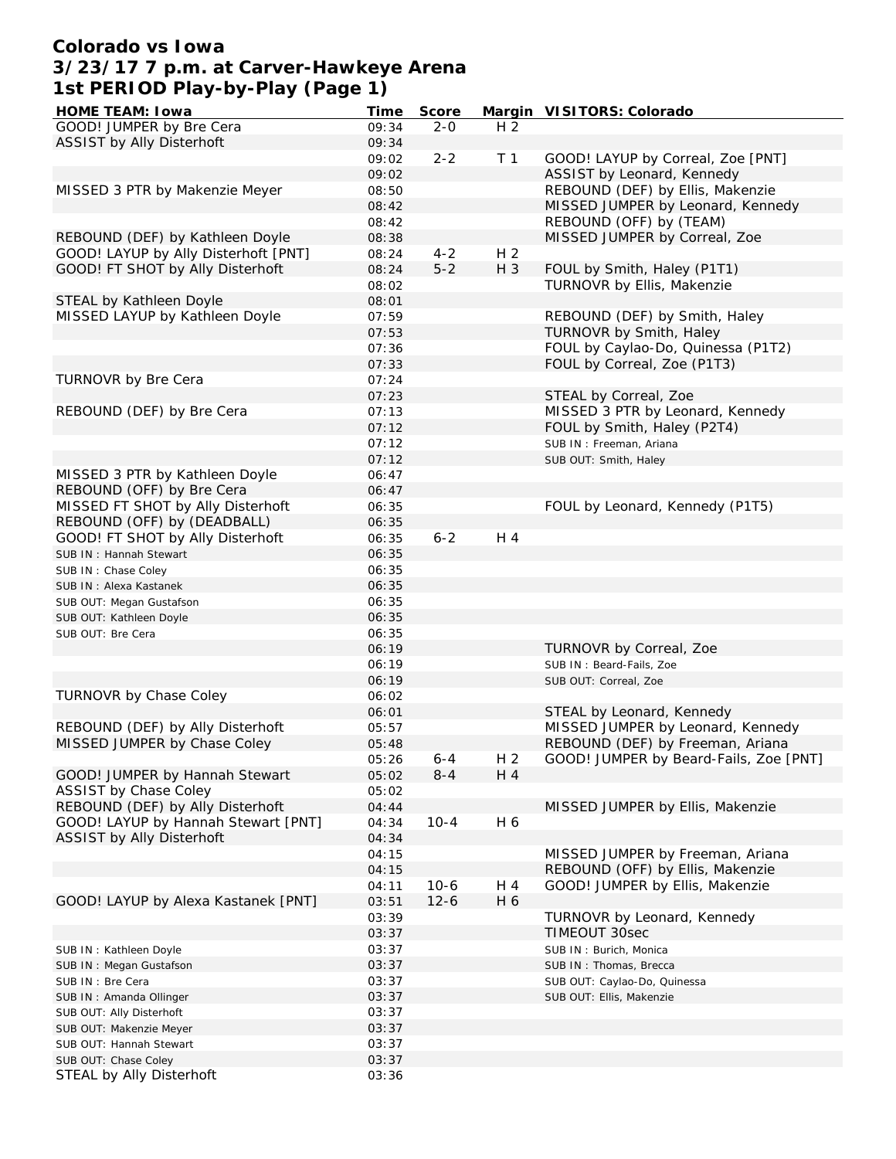# **Colorado vs Iowa 3/23/17 7 p.m. at Carver-Hawkeye Arena 1st PERIOD Play-by-Play (Page 1)**

| HOME TEAM: I owa                     | Time  | Score    |                | Margin VISITORS: Colorado              |
|--------------------------------------|-------|----------|----------------|----------------------------------------|
| GOOD! JUMPER by Bre Cera             | 09:34 | $2 - 0$  | H <sub>2</sub> |                                        |
| ASSIST by Ally Disterhoft            | 09:34 |          |                |                                        |
|                                      | 09:02 | $2 - 2$  | T <sub>1</sub> | GOOD! LAYUP by Correal, Zoe [PNT]      |
|                                      | 09:02 |          |                | ASSIST by Leonard, Kennedy             |
| MISSED 3 PTR by Makenzie Meyer       | 08:50 |          |                | REBOUND (DEF) by Ellis, Makenzie       |
|                                      | 08:42 |          |                | MISSED JUMPER by Leonard, Kennedy      |
|                                      | 08:42 |          |                | REBOUND (OFF) by (TEAM)                |
|                                      |       |          |                |                                        |
| REBOUND (DEF) by Kathleen Doyle      | 08:38 |          |                | MISSED JUMPER by Correal, Zoe          |
| GOOD! LAYUP by Ally Disterhoft [PNT] | 08:24 | $4 - 2$  | H <sub>2</sub> |                                        |
| GOOD! FT SHOT by Ally Disterhoft     | 08:24 | $5 - 2$  | H 3            | FOUL by Smith, Haley (P1T1)            |
|                                      | 08:02 |          |                | TURNOVR by Ellis, Makenzie             |
| STEAL by Kathleen Doyle              | 08:01 |          |                |                                        |
| MISSED LAYUP by Kathleen Doyle       | 07:59 |          |                | REBOUND (DEF) by Smith, Haley          |
|                                      | 07:53 |          |                | TURNOVR by Smith, Haley                |
|                                      | 07:36 |          |                | FOUL by Caylao-Do, Quinessa (P1T2)     |
|                                      | 07:33 |          |                | FOUL by Correal, Zoe (P1T3)            |
| TURNOVR by Bre Cera                  | 07:24 |          |                |                                        |
|                                      | 07:23 |          |                | STEAL by Correal, Zoe                  |
| REBOUND (DEF) by Bre Cera            | 07:13 |          |                | MISSED 3 PTR by Leonard, Kennedy       |
|                                      |       |          |                |                                        |
|                                      | 07:12 |          |                | FOUL by Smith, Haley (P2T4)            |
|                                      | 07:12 |          |                | SUB IN: Freeman, Ariana                |
|                                      | 07:12 |          |                | SUB OUT: Smith, Haley                  |
| MISSED 3 PTR by Kathleen Doyle       | 06:47 |          |                |                                        |
| REBOUND (OFF) by Bre Cera            | 06:47 |          |                |                                        |
| MISSED FT SHOT by Ally Disterhoft    | 06:35 |          |                | FOUL by Leonard, Kennedy (P1T5)        |
| REBOUND (OFF) by (DEADBALL)          | 06:35 |          |                |                                        |
| GOOD! FT SHOT by Ally Disterhoft     | 06:35 | $6 - 2$  | $H_4$          |                                        |
| SUB IN: Hannah Stewart               | 06:35 |          |                |                                        |
| SUB IN: Chase Coley                  | 06:35 |          |                |                                        |
| SUB IN: Alexa Kastanek               | 06:35 |          |                |                                        |
|                                      | 06:35 |          |                |                                        |
| SUB OUT: Megan Gustafson             |       |          |                |                                        |
| SUB OUT: Kathleen Doyle              | 06:35 |          |                |                                        |
| SUB OUT: Bre Cera                    | 06:35 |          |                |                                        |
|                                      | 06:19 |          |                | TURNOVR by Correal, Zoe                |
|                                      | 06:19 |          |                | SUB IN: Beard-Fails, Zoe               |
|                                      | 06:19 |          |                | SUB OUT: Correal, Zoe                  |
| TURNOVR by Chase Coley               | 06:02 |          |                |                                        |
|                                      | 06:01 |          |                | STEAL by Leonard, Kennedy              |
| REBOUND (DEF) by Ally Disterhoft     | 05:57 |          |                | MISSED JUMPER by Leonard, Kennedy      |
| MISSED JUMPER by Chase Coley         | 05:48 |          |                | REBOUND (DEF) by Freeman, Ariana       |
|                                      | 05:26 | 6-4      | H 2            | GOOD! JUMPER by Beard-Fails, Zoe [PNT] |
| GOOD! JUMPER by Hannah Stewart       | 05:02 | $8 - 4$  | H 4            |                                        |
| ASSIST by Chase Coley                | 05:02 |          |                |                                        |
|                                      |       |          |                |                                        |
| REBOUND (DEF) by Ally Disterhoft     | 04:44 |          |                | MISSED JUMPER by Ellis, Makenzie       |
| GOOD! LAYUP by Hannah Stewart [PNT]  | 04:34 | $10 - 4$ | H 6            |                                        |
| ASSIST by Ally Disterhoft            | 04:34 |          |                |                                        |
|                                      | 04:15 |          |                | MISSED JUMPER by Freeman, Ariana       |
|                                      | 04:15 |          |                | REBOUND (OFF) by Ellis, Makenzie       |
|                                      | 04:11 | $10-6$   | H 4            | GOOD! JUMPER by Ellis, Makenzie        |
| GOOD! LAYUP by Alexa Kastanek [PNT]  | 03:51 | $12 - 6$ | H 6            |                                        |
|                                      | 03:39 |          |                | TURNOVR by Leonard, Kennedy            |
|                                      | 03:37 |          |                | <b>TIMEOUT 30sec</b>                   |
| SUB IN: Kathleen Doyle               | 03:37 |          |                | SUB IN: Burich, Monica                 |
| SUB IN: Megan Gustafson              | 03:37 |          |                | SUB IN: Thomas, Brecca                 |
|                                      |       |          |                |                                        |
| SUB IN : Bre Cera                    | 03:37 |          |                | SUB OUT: Caylao-Do, Quinessa           |
| SUB IN: Amanda Ollinger              | 03:37 |          |                | SUB OUT: Ellis, Makenzie               |
| SUB OUT: Ally Disterhoft             | 03:37 |          |                |                                        |
| SUB OUT: Makenzie Meyer              | 03:37 |          |                |                                        |
| SUB OUT: Hannah Stewart              | 03:37 |          |                |                                        |
| SUB OUT: Chase Coley                 | 03:37 |          |                |                                        |
| STEAL by Ally Disterhoft             | 03:36 |          |                |                                        |
|                                      |       |          |                |                                        |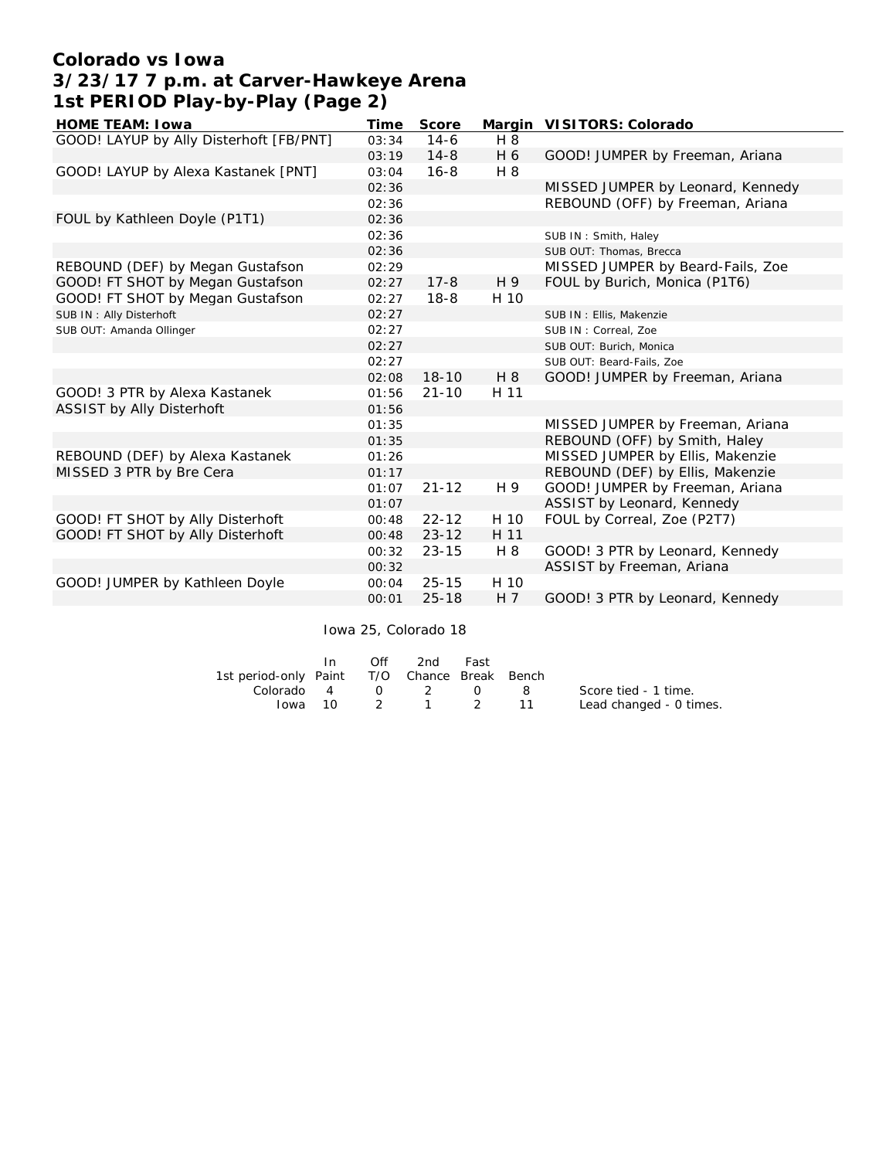# **Colorado vs Iowa 3/23/17 7 p.m. at Carver-Hawkeye Arena 1st PERIOD Play-by-Play (Page 2)**

| HOME TEAM: I owa                        | Time  | Score     |                | Margin VISITORS: Colorado         |
|-----------------------------------------|-------|-----------|----------------|-----------------------------------|
| GOOD! LAYUP by Ally Disterhoft [FB/PNT] | 03:34 | $14-6$    | H 8            |                                   |
|                                         | 03:19 | $14 - 8$  | H 6            | GOOD! JUMPER by Freeman, Ariana   |
| GOOD! LAYUP by Alexa Kastanek [PNT]     | 03:04 | $16 - 8$  | H 8            |                                   |
|                                         | 02:36 |           |                | MISSED JUMPER by Leonard, Kennedy |
|                                         | 02:36 |           |                | REBOUND (OFF) by Freeman, Ariana  |
| FOUL by Kathleen Doyle (P1T1)           | 02:36 |           |                |                                   |
|                                         | 02:36 |           |                | SUB IN: Smith, Haley              |
|                                         | 02:36 |           |                | SUB OUT: Thomas, Brecca           |
| REBOUND (DEF) by Megan Gustafson        | 02:29 |           |                | MISSED JUMPER by Beard-Fails, Zoe |
| GOOD! FT SHOT by Megan Gustafson        | 02:27 | $17 - 8$  | H 9            | FOUL by Burich, Monica (P1T6)     |
| GOOD! FT SHOT by Megan Gustafson        | 02:27 | $18 - 8$  | H 10           |                                   |
| SUB IN: Ally Disterhoft                 | 02:27 |           |                | SUB IN: Ellis, Makenzie           |
| SUB OUT: Amanda Ollinger                | 02:27 |           |                | SUB IN: Correal, Zoe              |
|                                         | 02:27 |           |                | SUB OUT: Burich, Monica           |
|                                         | 02:27 |           |                | SUB OUT: Beard-Fails, Zoe         |
|                                         | 02:08 | $18 - 10$ | H 8            | GOOD! JUMPER by Freeman, Ariana   |
| GOOD! 3 PTR by Alexa Kastanek           | 01:56 | $21 - 10$ | H 11           |                                   |
| ASSIST by Ally Disterhoft               | 01:56 |           |                |                                   |
|                                         | 01:35 |           |                | MISSED JUMPER by Freeman, Ariana  |
|                                         | 01:35 |           |                | REBOUND (OFF) by Smith, Haley     |
| REBOUND (DEF) by Alexa Kastanek         | 01:26 |           |                | MISSED JUMPER by Ellis, Makenzie  |
| MISSED 3 PTR by Bre Cera                | 01:17 |           |                | REBOUND (DEF) by Ellis, Makenzie  |
|                                         | 01:07 | $21 - 12$ | H 9            | GOOD! JUMPER by Freeman, Ariana   |
|                                         | 01:07 |           |                | ASSIST by Leonard, Kennedy        |
| GOOD! FT SHOT by Ally Disterhoft        | 00:48 | $22 - 12$ | H 10           | FOUL by Correal, Zoe (P2T7)       |
| GOOD! FT SHOT by Ally Disterhoft        | 00:48 | $23 - 12$ | H 11           |                                   |
|                                         | 00:32 | $23 - 15$ | H 8            | GOOD! 3 PTR by Leonard, Kennedy   |
|                                         | 00:32 |           |                | ASSIST by Freeman, Ariana         |
| GOOD! JUMPER by Kathleen Doyle          | 00:04 | $25 - 15$ | H 10           |                                   |
|                                         | 00:01 | $25 - 18$ | H <sub>7</sub> | GOOD! 3 PTR by Leonard, Kennedy   |

Iowa 25, Colorado 18

|                                              | In | $\bigcap$ ff | 2nd                | Fast |                         |
|----------------------------------------------|----|--------------|--------------------|------|-------------------------|
| 1st period-only Paint T/O Chance Break Bench |    |              |                    |      |                         |
| Colorado 4 0 2 0 8                           |    |              |                    |      | Score tied - 1 time.    |
|                                              |    |              | $10wa$ 10 2 1 2 11 |      | Lead changed - 0 times. |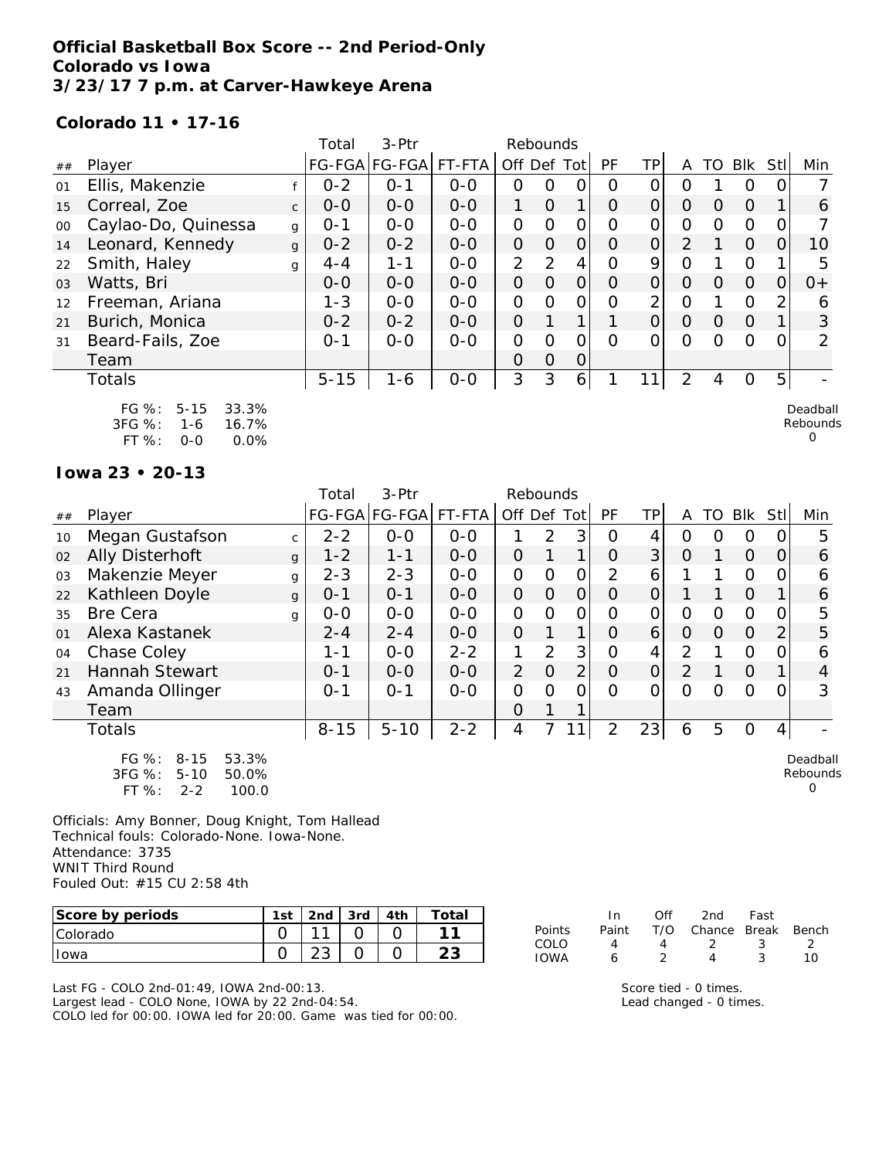## **Official Basketball Box Score -- 2nd Period-Only Colorado vs Iowa 3/23/17 7 p.m. at Carver-Hawkeye Arena**

#### **Colorado 11 • 17-16**

|        |                                                                                        |              | Total    | 3-Ptr         |         |                | Rebounds       |                |                  |                |                |          |            |     |                           |
|--------|----------------------------------------------------------------------------------------|--------------|----------|---------------|---------|----------------|----------------|----------------|------------------|----------------|----------------|----------|------------|-----|---------------------------|
| ##     | Player                                                                                 |              |          | FG-FGA FG-FGA | FT-FTA  | Off Def        |                | Tot            | PF               | TP.            | A              | TO       | <b>Blk</b> | Stl | Min                       |
| 01     | Ellis, Makenzie                                                                        |              | $0 - 2$  | $O - 1$       | $0 - 0$ | 0              | O              | 0              | $\left( \right)$ |                | Ω              |          | Ο          |     |                           |
| 15     | Correal, Zoe                                                                           | $\mathsf{C}$ | $0 - 0$  | $0 - 0$       | $0 - 0$ | 1              | $\Omega$       | 1.             | O                | 0              | 0              | O        | $\Omega$   |     | 6                         |
| $00\,$ | Caylao-Do, Quinessa                                                                    | g            | $O - 1$  | $O-O$         | $0-0$   | $\mathbf{O}$   | $\circ$        | $\overline{O}$ | O                | 0              | O              | Ω        | $\Omega$   |     |                           |
| 14     | Leonard, Kennedy                                                                       | $\mathbf{q}$ | $0 - 2$  | $0 - 2$       | $0-0$   | $\overline{O}$ | 0              | $\Omega$       | O                | O              | $\overline{2}$ |          | $\Omega$   |     | 10                        |
| 22     | Smith, Haley                                                                           | g            | $4 - 4$  | $1 - 1$       | $0 - 0$ | $\overline{2}$ | $\mathcal{P}$  | 4              | Ω                | 9              | $\Omega$       |          | $\Omega$   |     | 5                         |
| 03     | Watts, Bri                                                                             |              | $0 - 0$  | $0-0$         | $0 - 0$ | $\Omega$       | $\Omega$       | $\overline{O}$ | O                | $\overline{O}$ | O              | Ω        | $\Omega$   | 0   | $0+$                      |
| 12     | Freeman, Ariana                                                                        |              | $1 - 3$  | $0-0$         | $0 - 0$ | $\mathbf{O}$   | O              | $\overline{O}$ | 0                | 2              | Ο              |          | $\Omega$   | 2   | 6                         |
| 21     | Burich, Monica                                                                         |              | $0 - 2$  | $0 - 2$       | $0 - 0$ | $\overline{O}$ |                |                |                  | 0              | $\Omega$       | $\Omega$ | $\Omega$   |     | 3                         |
| 31     | Beard-Fails, Zoe                                                                       |              | $0 - 1$  | $O-O$         | $O-O$   | $\mathcal{O}$  | $\circ$        | 0              | Ω                | Ω              | Ω              | ∩        | $\Omega$   |     | $\mathcal{P}$             |
|        | Team                                                                                   |              |          |               |         | $\Omega$       | $\overline{O}$ | $\Omega$       |                  |                |                |          |            |     |                           |
|        | <b>Totals</b>                                                                          |              | $5 - 15$ | $1 - 6$       | $0-0$   | 3              | 3              | $6 \mid$       |                  | 11             | $\overline{2}$ | 4        | O          | 5   |                           |
|        | $FG \%$ :<br>$5 - 15$<br>33.3%<br>3FG %:<br>16.7%<br>1-6<br>$FT%$ :<br>0.0%<br>$O - O$ |              |          |               |         |                |                |                |                  |                |                |          |            |     | Deadball<br>Rebounds<br>0 |

**Iowa 23 • 20-13**

|    |                                                                                            |              | Total    | 3-Ptr         |         | Rebounds       |                |                |          |                |                |    |                |                |                           |
|----|--------------------------------------------------------------------------------------------|--------------|----------|---------------|---------|----------------|----------------|----------------|----------|----------------|----------------|----|----------------|----------------|---------------------------|
| ## | Player                                                                                     |              |          | FG-FGA FG-FGA | FT-FTA  | Off Def        |                | Tot            | PF       | <b>TP</b>      | A              | TO | Blk            | Stll           | Min                       |
| 10 | Megan Gustafson                                                                            | C.           | $2 - 2$  | $O-O$         | $0 - 0$ |                | $\overline{2}$ | 3              | Ω        | 4              | Ω              | O  | 0              | 0              | 5                         |
| 02 | Ally Disterhoft                                                                            | $\mathbf{q}$ | $1 - 2$  | $1 - 1$       | $0-0$   | $\Omega$       |                | 1              | 0        | 3              | $\overline{O}$ |    | $\Omega$       | 0              | 6                         |
| 03 | Makenzie Meyer                                                                             | g            | $2 - 3$  | $2 - 3$       | $0-0$   | $\mathcal{O}$  | O              | $\mathcal{O}$  | 2        | 6              |                |    | $\circ$        | 0              | 6                         |
| 22 | Kathleen Doyle                                                                             | g            | $0 - 1$  | $0 - 1$       | $0-0$   | $\overline{O}$ | $\Omega$       | $\overline{O}$ | O        | $\Omega$       |                |    | $\Omega$       | 1.             | 6                         |
| 35 | <b>Bre Cera</b>                                                                            | g            | $0-0$    | $O-O$         | $0-0$   | $\mathcal{O}$  | O              | $\mathcal{O}$  | Ω        | 0              | O              | O  | $\circ$        | 0              | 5                         |
| 01 | Alexa Kastanek                                                                             |              | $2 - 4$  | $2 - 4$       | $0-0$   | $\overline{O}$ |                | $\mathbf{1}$   | 0        | 6              | $\Omega$       | 0  | $\Omega$       | 2              | 5                         |
| 04 | Chase Coley                                                                                |              | 1-1      | $0 - 0$       | $2 - 2$ | 1              | 2              | 3              | 0        | 4              | 2              |    | $\Omega$       | 0              | 6                         |
| 21 | Hannah Stewart                                                                             |              | $0 - 1$  | $0 - 0$       | $0-0$   | $\overline{2}$ | $\Omega$       | $\overline{2}$ | O        | $\overline{O}$ | 2              |    | $\Omega$       | 1              | 4                         |
| 43 | Amanda Ollinger                                                                            |              | $O - 1$  | $0 - 1$       | $0-0$   | $\Omega$       | 0              | 0              | $\Omega$ | Ο              | $\Omega$       | Ω  | 0              | 0              | 3                         |
|    | Team                                                                                       |              |          |               |         | $\Omega$       | 1              |                |          |                |                |    |                |                |                           |
|    | Totals                                                                                     |              | $8 - 15$ | $5 - 10$      | $2 - 2$ | 4              |                | 11             | 2        | 23             | 6              | 5  | $\overline{O}$ | $\overline{4}$ |                           |
|    | $FG \%$ :<br>$8 - 15$<br>53.3%<br>3FG %:<br>$5 - 10$<br>50.0%<br>FT %:<br>100.0<br>$2 - 2$ |              |          |               |         |                |                |                |          |                |                |    |                |                | Deadball<br>Rebounds<br>O |

Officials: Amy Bonner, Doug Knight, Tom Hallead Technical fouls: Colorado-None. Iowa-None. Attendance: 3735 WNIT Third Round Fouled Out: #15 CU 2:58 4th

| Score by periods | 1st | 2 <sub>nd</sub> | 3rd | Total |
|------------------|-----|-----------------|-----|-------|
| <b>Colorado</b>  |     | $\sim$          |     |       |
| Towa             |     |                 |     |       |

Last FG - COLO 2nd-01:49, IOWA 2nd-00:13. Largest lead - COLO None, IOWA by 22 2nd-04:54. COLO led for 00:00. IOWA led for 20:00. Game was tied for 00:00.

|               | In.   | ∩ff | 2nd                    | Fast |     |
|---------------|-------|-----|------------------------|------|-----|
| <b>Points</b> | Paint |     | T/O Chance Break Bench |      |     |
| COLO          | Δ.    | Δ   | - 2                    | -3   |     |
| <b>IOWA</b>   | А     |     | Δ                      |      | 1 N |

Score tied - 0 times. Lead changed - 0 times.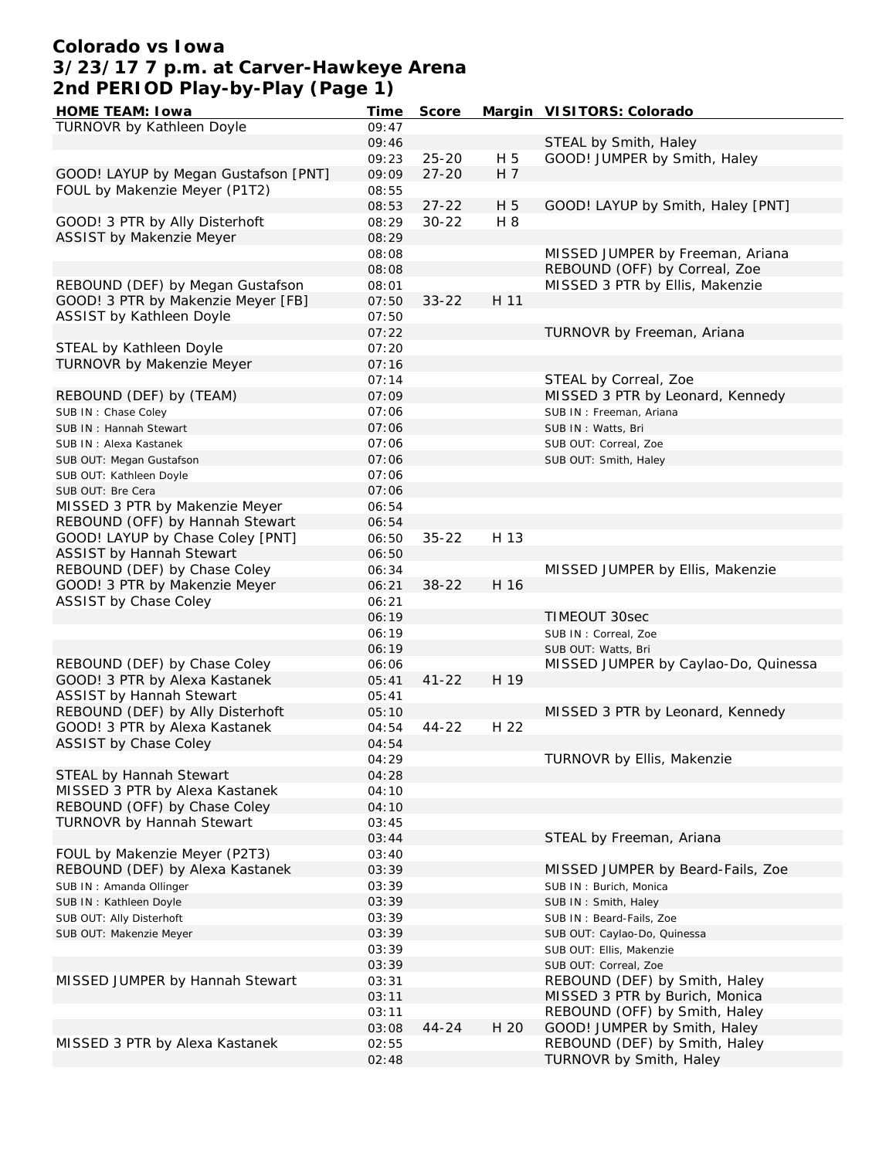# **Colorado vs Iowa 3/23/17 7 p.m. at Carver-Hawkeye Arena 2nd PERIOD Play-by-Play (Page 1)**

| HOME TEAM: I owa                     | Time  | Score     |      | Margin VISITORS: Colorado            |
|--------------------------------------|-------|-----------|------|--------------------------------------|
| TURNOVR by Kathleen Doyle            | 09:47 |           |      |                                      |
|                                      | 09:46 |           |      | STEAL by Smith, Haley                |
|                                      | 09:23 | $25 - 20$ | H 5  | GOOD! JUMPER by Smith, Haley         |
| GOOD! LAYUP by Megan Gustafson [PNT] | 09:09 | $27 - 20$ | H 7  |                                      |
| FOUL by Makenzie Meyer (P1T2)        | 08:55 |           |      |                                      |
|                                      | 08:53 | $27 - 22$ | H 5  | GOOD! LAYUP by Smith, Haley [PNT]    |
| GOOD! 3 PTR by Ally Disterhoft       | 08:29 | $30 - 22$ | H 8  |                                      |
| ASSIST by Makenzie Meyer             | 08:29 |           |      |                                      |
|                                      |       |           |      | MISSED JUMPER by Freeman, Ariana     |
|                                      | 08:08 |           |      |                                      |
|                                      | 08:08 |           |      | REBOUND (OFF) by Correal, Zoe        |
| REBOUND (DEF) by Megan Gustafson     | 08:01 |           |      | MISSED 3 PTR by Ellis, Makenzie      |
| GOOD! 3 PTR by Makenzie Meyer [FB]   | 07:50 | $33 - 22$ | H 11 |                                      |
| ASSIST by Kathleen Doyle             | 07:50 |           |      |                                      |
|                                      | 07:22 |           |      | TURNOVR by Freeman, Ariana           |
| STEAL by Kathleen Doyle              | 07:20 |           |      |                                      |
| TURNOVR by Makenzie Meyer            | 07:16 |           |      |                                      |
|                                      | 07:14 |           |      | STEAL by Correal, Zoe                |
| REBOUND (DEF) by (TEAM)              | 07:09 |           |      | MISSED 3 PTR by Leonard, Kennedy     |
| SUB IN: Chase Coley                  | 07:06 |           |      | SUB IN: Freeman, Ariana              |
| SUB IN: Hannah Stewart               | 07:06 |           |      | SUB IN: Watts, Bri                   |
| SUB IN: Alexa Kastanek               | 07:06 |           |      | SUB OUT: Correal, Zoe                |
| SUB OUT: Megan Gustafson             | 07:06 |           |      | SUB OUT: Smith, Haley                |
| SUB OUT: Kathleen Doyle              | 07:06 |           |      |                                      |
| SUB OUT: Bre Cera                    | 07:06 |           |      |                                      |
| MISSED 3 PTR by Makenzie Meyer       | 06:54 |           |      |                                      |
| REBOUND (OFF) by Hannah Stewart      |       |           |      |                                      |
|                                      | 06:54 |           | H 13 |                                      |
| GOOD! LAYUP by Chase Coley [PNT]     | 06:50 | $35 - 22$ |      |                                      |
| <b>ASSIST by Hannah Stewart</b>      | 06:50 |           |      |                                      |
| REBOUND (DEF) by Chase Coley         | 06:34 |           |      | MISSED JUMPER by Ellis, Makenzie     |
| GOOD! 3 PTR by Makenzie Meyer        | 06:21 | $38 - 22$ | H 16 |                                      |
| ASSIST by Chase Coley                | 06:21 |           |      |                                      |
|                                      | 06:19 |           |      | TIMEOUT 30sec                        |
|                                      | 06:19 |           |      | SUB IN: Correal, Zoe                 |
|                                      | 06:19 |           |      | SUB OUT: Watts, Bri                  |
| REBOUND (DEF) by Chase Coley         | 06:06 |           |      | MISSED JUMPER by Caylao-Do, Quinessa |
| GOOD! 3 PTR by Alexa Kastanek        | 05:41 | $41 - 22$ | H 19 |                                      |
| <b>ASSIST by Hannah Stewart</b>      | 05:41 |           |      |                                      |
| REBOUND (DEF) by Ally Disterhoft     | 05:10 |           |      | MISSED 3 PTR by Leonard, Kennedy     |
| GOOD! 3 PTR by Alexa Kastanek        | 04:54 | $44 - 22$ | H 22 |                                      |
| ASSIST by Chase Coley                | 04:54 |           |      |                                      |
|                                      | 04:29 |           |      | TURNOVR by Ellis, Makenzie           |
| STEAL by Hannah Stewart              | 04:28 |           |      |                                      |
| MISSED 3 PTR by Alexa Kastanek       | 04:10 |           |      |                                      |
| REBOUND (OFF) by Chase Coley         | 04:10 |           |      |                                      |
| TURNOVR by Hannah Stewart            | 03:45 |           |      |                                      |
|                                      | 03:44 |           |      | STEAL by Freeman, Ariana             |
| FOUL by Makenzie Meyer (P2T3)        |       |           |      |                                      |
|                                      | 03:40 |           |      |                                      |
| REBOUND (DEF) by Alexa Kastanek      | 03:39 |           |      | MISSED JUMPER by Beard-Fails, Zoe    |
| SUB IN: Amanda Ollinger              | 03:39 |           |      | SUB IN: Burich, Monica               |
| SUB IN: Kathleen Doyle               | 03:39 |           |      | SUB IN: Smith, Haley                 |
| SUB OUT: Ally Disterhoft             | 03:39 |           |      | SUB IN: Beard-Fails, Zoe             |
| SUB OUT: Makenzie Meyer              | 03:39 |           |      | SUB OUT: Caylao-Do, Quinessa         |
|                                      | 03:39 |           |      | SUB OUT: Ellis, Makenzie             |
|                                      | 03:39 |           |      | SUB OUT: Correal, Zoe                |
| MISSED JUMPER by Hannah Stewart      | 03:31 |           |      | REBOUND (DEF) by Smith, Haley        |
|                                      | 03:11 |           |      | MISSED 3 PTR by Burich, Monica       |
|                                      | 03:11 |           |      | REBOUND (OFF) by Smith, Haley        |
|                                      | 03:08 | $44 - 24$ | H 20 | GOOD! JUMPER by Smith, Haley         |
| MISSED 3 PTR by Alexa Kastanek       | 02:55 |           |      | REBOUND (DEF) by Smith, Haley        |
|                                      | 02:48 |           |      | TURNOVR by Smith, Haley              |
|                                      |       |           |      |                                      |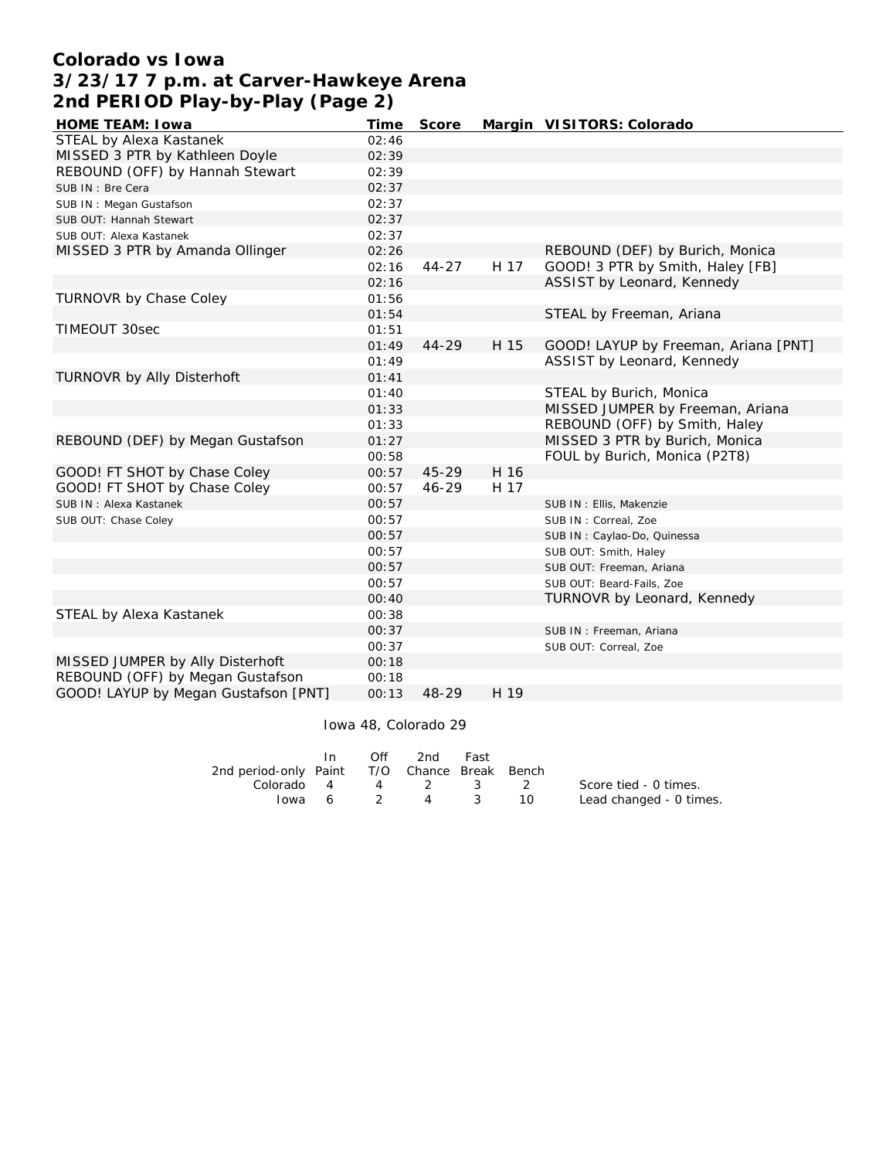## **Colorado vs Iowa 3/23/17 7 p.m. at Carver-Hawkeye Arena 2nd PERIOD Play-by-Play (Page 2)**

| HOME TEAM: I owa                     | Time  | Score     |      | Margin VISITORS: Colorado            |
|--------------------------------------|-------|-----------|------|--------------------------------------|
| STEAL by Alexa Kastanek              | 02:46 |           |      |                                      |
| MISSED 3 PTR by Kathleen Doyle       | 02:39 |           |      |                                      |
| REBOUND (OFF) by Hannah Stewart      | 02:39 |           |      |                                      |
| SUB IN: Bre Cera                     | 02:37 |           |      |                                      |
| SUB IN: Megan Gustafson              | 02:37 |           |      |                                      |
| SUB OUT: Hannah Stewart              | 02:37 |           |      |                                      |
| SUB OUT: Alexa Kastanek              | 02:37 |           |      |                                      |
| MISSED 3 PTR by Amanda Ollinger      | 02:26 |           |      | REBOUND (DEF) by Burich, Monica      |
|                                      | 02:16 | $44 - 27$ | H 17 | GOOD! 3 PTR by Smith, Haley [FB]     |
|                                      | 02:16 |           |      | ASSIST by Leonard, Kennedy           |
| TURNOVR by Chase Coley               | 01:56 |           |      |                                      |
|                                      | 01:54 |           |      | STEAL by Freeman, Ariana             |
| TIMEOUT 30sec                        | 01:51 |           |      |                                      |
|                                      | 01:49 | $44 - 29$ | H 15 | GOOD! LAYUP by Freeman, Ariana [PNT] |
|                                      | 01:49 |           |      | ASSIST by Leonard, Kennedy           |
| TURNOVR by Ally Disterhoft           | 01:41 |           |      |                                      |
|                                      | 01:40 |           |      | STEAL by Burich, Monica              |
|                                      | 01:33 |           |      | MISSED JUMPER by Freeman, Ariana     |
|                                      | 01:33 |           |      | REBOUND (OFF) by Smith, Haley        |
| REBOUND (DEF) by Megan Gustafson     | 01:27 |           |      | MISSED 3 PTR by Burich, Monica       |
|                                      | 00:58 |           |      | FOUL by Burich, Monica (P2T8)        |
| GOOD! FT SHOT by Chase Coley         | 00:57 | 45-29     | H 16 |                                      |
| GOOD! FT SHOT by Chase Coley         | 00:57 | 46-29     | H 17 |                                      |
| SUB IN: Alexa Kastanek               | 00:57 |           |      | SUB IN : Ellis, Makenzie             |
| SUB OUT: Chase Coley                 | 00:57 |           |      | SUB IN: Correal, Zoe                 |
|                                      | 00:57 |           |      | SUB IN: Caylao-Do, Quinessa          |
|                                      | 00:57 |           |      | SUB OUT: Smith, Haley                |
|                                      | 00:57 |           |      | SUB OUT: Freeman, Ariana             |
|                                      | 00:57 |           |      | SUB OUT: Beard-Fails, Zoe            |
|                                      | 00:40 |           |      | TURNOVR by Leonard, Kennedy          |
| STEAL by Alexa Kastanek              | 00:38 |           |      |                                      |
|                                      | 00:37 |           |      | SUB IN: Freeman, Ariana              |
|                                      | 00:37 |           |      | SUB OUT: Correal, Zoe                |
| MISSED JUMPER by Ally Disterhoft     | 00:18 |           |      |                                      |
| REBOUND (OFF) by Megan Gustafson     | 00:18 |           |      |                                      |
| GOOD! LAYUP by Megan Gustafson [PNT] | 00:13 | $48 - 29$ | H 19 |                                      |

#### Iowa 48, Colorado 29

|                                              |        | Off | 2nd      | Fast     |     |                         |
|----------------------------------------------|--------|-----|----------|----------|-----|-------------------------|
| 2nd period-only Paint T/O Chance Break Bench |        |     |          |          |     |                         |
| Colorado 4                                   |        |     | 4 2 3 2  |          |     | Score tied - 0 times.   |
|                                              | lowa 6 |     | $\sim$ 4 | $\sim$ 3 | 10. | Lead changed - 0 times. |
|                                              |        |     |          |          |     |                         |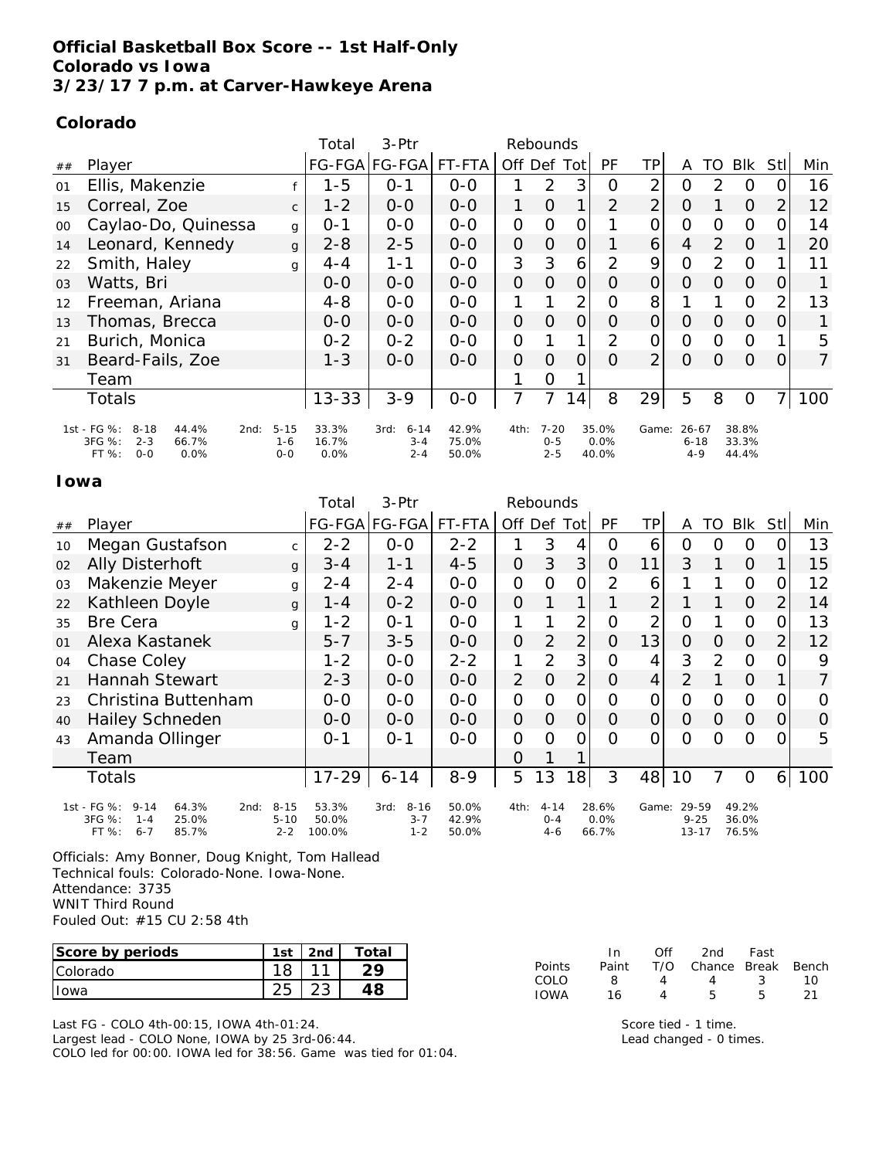## **Official Basketball Box Score -- 1st Half-Only Colorado vs Iowa 3/23/17 7 p.m. at Carver-Hawkeye Arena**

## **Colorado**

|    |                                                                                                    |                                | Total                  | $3-Ptr$                                | Rebounds                |                |                                |                |                        |                |                                  |                |                         |                |                |
|----|----------------------------------------------------------------------------------------------------|--------------------------------|------------------------|----------------------------------------|-------------------------|----------------|--------------------------------|----------------|------------------------|----------------|----------------------------------|----------------|-------------------------|----------------|----------------|
| ## | Player                                                                                             |                                |                        | FG-FGA FG-FGA                          | FT-FTA                  |                | Off Def                        | Totl           | <b>PF</b>              | ΤP             | A                                | TO             | Blk                     | Stl            | Min            |
| 01 | Ellis, Makenzie                                                                                    |                                | -5                     | $0 - 1$                                | $0-0$                   | 1              | $\overline{2}$                 | 3              | 0                      | 2              | $\Omega$                         | 2              | $\Omega$                | $\Omega$       | 16             |
| 15 | Correal, Zoe                                                                                       | $\mathsf{C}$                   | $1 - 2$                | $O-O$                                  | $0-0$                   | 1              | $\Omega$                       |                | $\overline{2}$         | $\overline{2}$ | $\Omega$                         |                | $\Omega$                | $\overline{2}$ | 12             |
| 00 | Caylao-Do, Quinessa                                                                                | g                              | $0 - 1$                | $O-O$                                  | $0-0$                   | $\Omega$       | $\mathcal{O}$                  | $\Omega$       |                        | 0              | $\Omega$                         | $\Omega$       | $\Omega$                | $\Omega$       | 14             |
| 14 | Leonard, Kennedy                                                                                   | $\mathbf{q}$                   | $2 - 8$                | $2 - 5$                                | $0 - 0$                 | 0              | 0                              | 0              |                        | 6              | 4                                | 2              | $\Omega$                |                | 20             |
| 22 | Smith, Haley                                                                                       | g                              | $4 - 4$                | $1 - 1$                                | $0-0$                   | 3              | 3                              | 6              | $\overline{2}$         | 9              | $\Omega$                         | $\overline{2}$ | $\Omega$                |                | 11             |
| 03 | Watts, Bri                                                                                         |                                | $0 - 0$                | $O-O$                                  | $O-O$                   | $\overline{O}$ | $\Omega$                       | $\Omega$       | $\Omega$               | $\overline{O}$ | $\Omega$                         | $\Omega$       | $\Omega$                | $\overline{0}$ |                |
| 12 | Freeman, Ariana                                                                                    |                                | $4 - 8$                | $0-0$                                  | $0 - 0$                 |                |                                | $\overline{2}$ | $\Omega$               | 8              |                                  |                | $\Omega$                | $\overline{2}$ | 13             |
| 13 | Thomas, Brecca                                                                                     |                                | $O-O$                  | $0-0$                                  | $0-0$                   | $\overline{O}$ | $\Omega$                       | $\Omega$       | $\Omega$               | $\overline{O}$ | $\Omega$                         | $\Omega$       | $\Omega$                | $\Omega$       |                |
| 21 | Burich, Monica                                                                                     |                                | $0 - 2$                | $0 - 2$                                | $O-O$                   | O              |                                | 1              | $\overline{2}$         | $\overline{O}$ | $\Omega$                         | $\Omega$       | $\Omega$                | 1              | 5              |
| 31 | Beard-Fails, Zoe                                                                                   |                                | $1 - 3$                | $0 - 0$                                | $0 - 0$                 | $\Omega$       | $\Omega$                       | $\Omega$       | $\Omega$               | $\overline{2}$ | $\Omega$                         | $\Omega$       | $\Omega$                | $\Omega$       | $\overline{7}$ |
|    | Team                                                                                               |                                |                        |                                        |                         |                | 0                              |                |                        |                |                                  |                |                         |                |                |
|    | <b>Totals</b>                                                                                      |                                | $13 - 33$              | $3 - 9$                                | $O-O$                   | 7              |                                | 14             | 8                      | 29             | 5                                | 8              | $\Omega$                |                | 100            |
|    | 1st - FG %:<br>$8 - 18$<br>44.4%<br>2nd:<br>3FG %:<br>$2 - 3$<br>66.7%<br>FT %:<br>$0 - 0$<br>0.0% | $5 - 15$<br>$1 - 6$<br>$O - O$ | 33.3%<br>16.7%<br>0.0% | 3rd:<br>$6 - 14$<br>$3 - 4$<br>$2 - 4$ | 42.9%<br>75.0%<br>50.0% | 4th:           | $7 - 20$<br>$0 - 5$<br>$2 - 5$ |                | 35.0%<br>0.0%<br>40.0% | Game:          | $26 - 67$<br>$6 - 18$<br>$4 - 9$ |                | 38.8%<br>33.3%<br>44.4% |                |                |

#### **Iowa**

|    |                                                                                                     |                                 | Total                    | 3-Ptr                                  |                         |                | Rebounds                       |                |                        |                |                                |                |                         |                |                |
|----|-----------------------------------------------------------------------------------------------------|---------------------------------|--------------------------|----------------------------------------|-------------------------|----------------|--------------------------------|----------------|------------------------|----------------|--------------------------------|----------------|-------------------------|----------------|----------------|
| ## | Player                                                                                              |                                 |                          | FG-FGA FG-FGA                          | FT-FTA                  |                | Off Def Tot                    |                | <b>PF</b>              | ΤP             | A                              | TO             | <b>BIK</b>              | Stl            | Min            |
| 10 | Megan Gustafson                                                                                     | $\mathsf{C}$                    | $2 - 2$                  | $O-O$                                  | $2 - 2$                 | 1              | 3                              | 4              | O                      | 6              | O                              | $\overline{O}$ | $\Omega$                | 0              | 13             |
| 02 | Ally Disterhoft                                                                                     | g                               | $3 - 4$                  | $1 - 1$                                | $4 - 5$                 | $\overline{O}$ | 3                              | 3              | $\overline{O}$         | 11             | 3                              | 1              | $\overline{O}$          | 1              | 15             |
| 03 | Makenzie Meyer                                                                                      | g                               | $2 - 4$                  | $2 - 4$                                | $O-O$                   | $\overline{O}$ | $\overline{O}$                 | $\overline{O}$ | 2                      | 6              | 1                              | 1              | $\mathcal{O}$           | $\mathcal{O}$  | 12             |
| 22 | Kathleen Doyle                                                                                      | g                               | 1 - 4                    | $0 - 2$                                | $0 - 0$                 | $\Omega$       | 1                              | 1              | 1                      | $\overline{2}$ |                                |                | $\Omega$                | $\overline{2}$ | 14             |
| 35 | <b>Bre Cera</b>                                                                                     | g                               | $1 - 2$                  | $0 - 1$                                | $O-O$                   | 1              | 1                              | 2              | 0                      | 2              | $\circ$                        |                | $\Omega$                | 0              | 13             |
| 01 | Alexa Kastanek                                                                                      |                                 | $5 - 7$                  | $3 - 5$                                | $0-0$                   | $\mathcal{O}$  | $\overline{2}$                 | $\overline{2}$ | $\overline{O}$         | 13             | $\overline{O}$                 | $\overline{O}$ | $\overline{O}$          | $\overline{2}$ | 12             |
| 04 | Chase Coley                                                                                         |                                 | $1 - 2$                  | $O-O$                                  | $2 - 2$                 | 1              | 2                              | 3              | $\overline{O}$         | 4              | 3                              | 2              | $\Omega$                | $\overline{O}$ | 9              |
| 21 | <b>Hannah Stewart</b>                                                                               |                                 | $2 - 3$                  | $O - O$                                | $0 - 0$                 | 2              | $\Omega$                       | $\overline{2}$ | $\overline{O}$         | $\overline{4}$ | 2                              | 1              | $\Omega$                | 1              | 7              |
| 23 | Christina Buttenham                                                                                 |                                 | $O-O$                    | $O - O$                                | $0 - 0$                 | $\overline{O}$ | $\Omega$                       | $\overline{O}$ | $\overline{O}$         | O              | $\circ$                        | $\Omega$       | $\Omega$                | $\overline{O}$ | $\overline{O}$ |
| 40 | <b>Hailey Schneden</b>                                                                              |                                 | $0 - 0$                  | $O-O$                                  | $0 - 0$                 | $\Omega$       | $\overline{O}$                 | $\Omega$       | $\Omega$               | $\overline{O}$ | $\Omega$                       | $\overline{O}$ | $\overline{O}$          | $\overline{O}$ | $\mathbf 0$    |
| 43 | Amanda Ollinger                                                                                     |                                 | $O - 1$                  | $O - 1$                                | $O-O$                   | $\Omega$       | $\Omega$                       | $\overline{O}$ | $\Omega$               | $\overline{O}$ | $\Omega$                       | $\Omega$       | $\Omega$                | $\Omega$       | 5              |
|    | Team                                                                                                |                                 |                          |                                        |                         | 0              |                                |                |                        |                |                                |                |                         |                |                |
|    | Totals                                                                                              |                                 | $17 - 29$                | $6 - 14$                               | $8 - 9$                 | 5              | 13                             | 18             | 3                      | 48             | 10                             | 7              | $\Omega$                | 6              | 100            |
|    | 1st - FG %:<br>$9 - 14$<br>64.3%<br>2nd:<br>3FG %:<br>25.0%<br>$1 - 4$<br>FT %:<br>85.7%<br>$6 - 7$ | $8 - 15$<br>$5 - 10$<br>$2 - 2$ | 53.3%<br>50.0%<br>100.0% | $8 - 16$<br>3rd:<br>$3 - 7$<br>$1 - 2$ | 50.0%<br>42.9%<br>50.0% | 4th:           | $4 - 14$<br>$O - 4$<br>$4 - 6$ |                | 28.6%<br>0.0%<br>66.7% | Game:          | 29-59<br>$9 - 25$<br>$13 - 17$ |                | 49.2%<br>36.0%<br>76.5% |                |                |

Officials: Amy Bonner, Doug Knight, Tom Hallead Technical fouls: Colorado-None. Iowa-None. Attendance: 3735 WNIT Third Round Fouled Out: #15 CU 2:58 4th

| Score by periods | 1st | 2 <sub>nd</sub> | Total |
|------------------|-----|-----------------|-------|
| <b>Colorado</b>  |     |                 |       |
| Towa             |     |                 |       |

Last FG - COLO 4th-00:15, IOWA 4th-01:24.

Largest lead - COLO None, IOWA by 25 3rd-06:44.

COLO led for 00:00. IOWA led for 38:56. Game was tied for 01:04.

|        | In.   | ∩ff | 2nd                    | Fast |     |
|--------|-------|-----|------------------------|------|-----|
| Points | Paint |     | T/O Chance Break Bench |      |     |
| COLO   | я     | Δ   | 4                      | -3   | 10  |
| IOWA   | 16    |     | 5                      | Б    | -21 |

Score tied - 1 time. Lead changed - 0 times.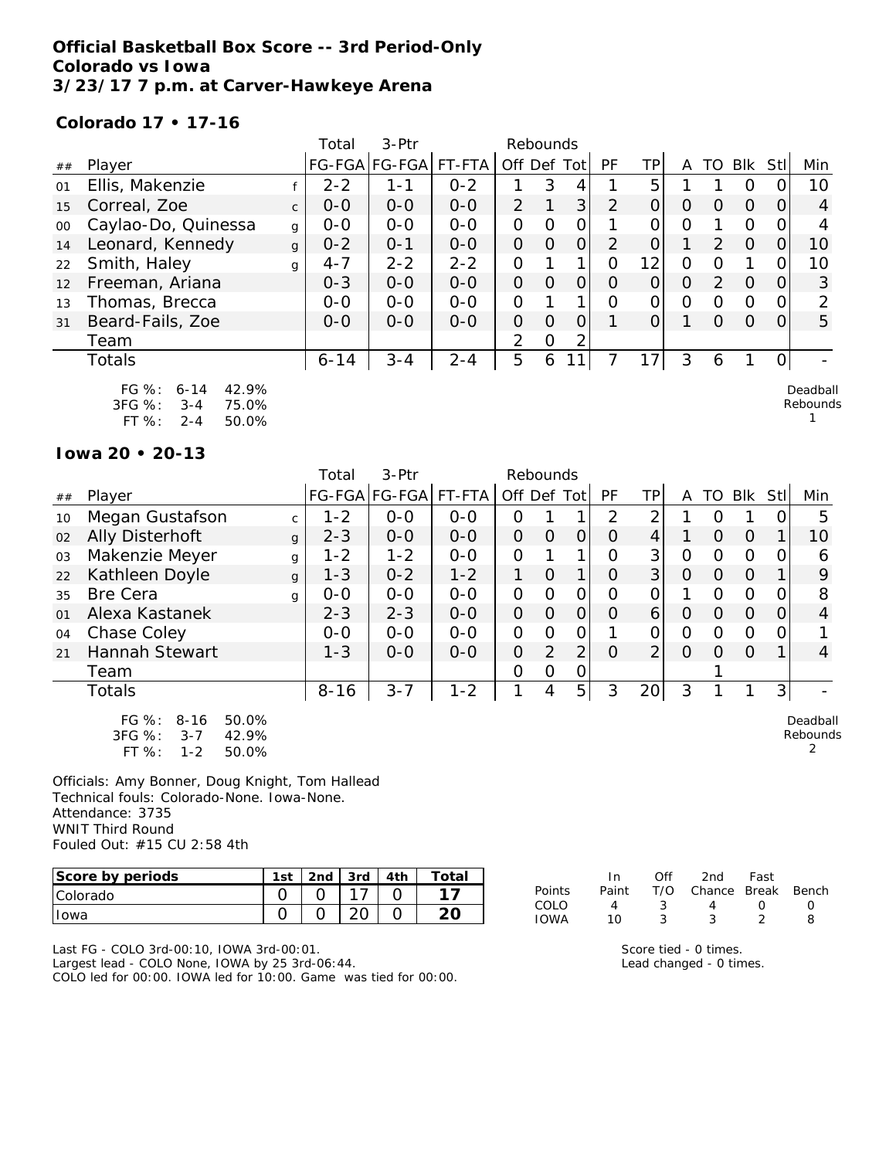## **Official Basketball Box Score -- 3rd Period-Only Colorado vs Iowa 3/23/17 7 p.m. at Carver-Hawkeye Arena**

#### **Colorado 17 • 17-16**

|        |                                                                                         |              | Total         | 3-Ptr   |         |                | Rebounds |                |                |    |          |                  |          |          |                      |
|--------|-----------------------------------------------------------------------------------------|--------------|---------------|---------|---------|----------------|----------|----------------|----------------|----|----------|------------------|----------|----------|----------------------|
| ##     | Player                                                                                  |              | <b>FG-FGA</b> | FG-FGA  | FT-FTA  | Off Def Tot    |          |                | PF             | ΤP | A        | TO               | Blk      | Stl      | Min                  |
| 01     | Ellis, Makenzie                                                                         |              | $2 - 2$       | $1 - 1$ | $0 - 2$ |                | 3        | 4              |                | 5  |          |                  | O        | O        | 10                   |
| 15     | Correal, Zoe                                                                            | $\mathsf{C}$ | $0 - 0$       | $0 - 0$ | $0-0$   | $\overline{2}$ |          | 3              | 2              | 0  | $\Omega$ | $\left( \right)$ | $\Omega$ | $\Omega$ | 4                    |
| $00\,$ | Caylao-Do, Quinessa                                                                     | g            | $0 - 0$       | $0-0$   | $0 - 0$ | $\overline{O}$ | O        | 0              |                | Ο  | $\Omega$ |                  | 0        | $\Omega$ | 4                    |
| 14     | Leonard, Kennedy                                                                        | g            | $0 - 2$       | $0 - 1$ | $0 - 0$ | 0              | $\Omega$ | $\overline{O}$ | $\overline{2}$ | 0  |          | $\mathcal{P}$    | $\Omega$ | O        | 10                   |
| 22     | Smith, Haley                                                                            | g            | $4 - 7$       | $2 - 2$ | $2 - 2$ | $\overline{O}$ |          | 1              | $\Omega$       | 12 | 0        | O                |          | $\Omega$ | 10                   |
| 12     | Freeman, Ariana                                                                         |              | $0 - 3$       | $0-0$   | $0-0$   | $\overline{O}$ | $\Omega$ | $\overline{O}$ | 0              | 0  | $\Omega$ | 2                | $\Omega$ | $\Omega$ | 3                    |
| 13     | Thomas, Brecca                                                                          |              | $0 - 0$       | $0 - 0$ | $0 - 0$ | $\Omega$       |          | 1              | $\Omega$       | 0  | $\Omega$ | $\Omega$         | O        | 0        | $\mathcal{P}$        |
| 31     | Beard-Fails, Zoe                                                                        |              | $0 - 0$       | $0 - 0$ | $0 - 0$ | $\overline{O}$ | $\Omega$ | $\overline{O}$ |                | O  |          | $\Omega$         | $\Omega$ | $\Omega$ | 5                    |
|        | Team                                                                                    |              |               |         |         | 2              | $\Omega$ | 2              |                |    |          |                  |          |          |                      |
|        | <b>Totals</b>                                                                           |              | $6 - 14$      | $3 - 4$ | $2 - 4$ | 5              | 6        | 1              |                | 17 | 3        | 6                |          | 0        |                      |
|        | FG %:<br>42.9%<br>$6 - 14$<br>3FG %:<br>75.0%<br>$3 - 4$<br>$FT$ %:<br>50.0%<br>$2 - 4$ |              |               |         |         |                |          |                |                |    |          |                  |          |          | Deadball<br>Rebounds |

**Iowa 20 • 20-13**

|    |                                                                                           |              | Total    | 3-Ptr         |         | Rebounds       |                |                |          |                |          |          |          |                  |                           |
|----|-------------------------------------------------------------------------------------------|--------------|----------|---------------|---------|----------------|----------------|----------------|----------|----------------|----------|----------|----------|------------------|---------------------------|
| ## | Player                                                                                    |              |          | FG-FGA FG-FGA | FT-FTA  | Off            |                | Def Tot        | PF       | ΤP             | A        | TO       | Blk      | Stl              | Min                       |
| 10 | Megan Gustafson                                                                           | $\mathsf{C}$ | $1 - 2$  | $0 - 0$       | $0 - 0$ | Ω              |                |                | 2        | 2              |          | $\Omega$ |          |                  | 5                         |
| 02 | <b>Ally Disterhoft</b>                                                                    | $\mathbf{q}$ | $2 - 3$  | $0-0$         | $0-0$   | $\overline{O}$ | $\Omega$       | 0              | 0        | $\overline{4}$ |          | $\Omega$ | $\Omega$ |                  | 10                        |
| 03 | Makenzie Meyer                                                                            | g            | $1 - 2$  | $1 - 2$       | $0 - 0$ | 0              |                |                | $\Omega$ | 3              | 0        | 0        | $\Omega$ | $\left( \right)$ | 6                         |
| 22 | Kathleen Doyle                                                                            | $\mathbf{q}$ | $1 - 3$  | $0 - 2$       | $1 - 2$ | 1              | $\Omega$       | 1 <sub>1</sub> | $\Omega$ | 3              | $\Omega$ | $\Omega$ | $\Omega$ |                  | 9                         |
| 35 | <b>Bre Cera</b>                                                                           | q            | $0 - 0$  | $0 - 0$       | $0 - 0$ | 0              | $\Omega$       | 0              | $\Omega$ | 0              |          | $\Omega$ | $\Omega$ |                  | 8                         |
| 01 | Alexa Kastanek                                                                            |              | $2 - 3$  | $2 - 3$       | $O-O$   | $\overline{O}$ | $\overline{O}$ | $\Omega$       | O        | 6              | $\Omega$ | $\Omega$ | $\Omega$ | $\Omega$         | 4                         |
| 04 | Chase Coley                                                                               |              | $0 - 0$  | $0 - 0$       | $0 - 0$ | 0              | O              | 0              |          | 0              | 0        | 0        | $\Omega$ |                  |                           |
| 21 | Hannah Stewart                                                                            |              | $1 - 3$  | $0-0$         | $0-0$   | 0              | $\overline{2}$ | $\overline{2}$ | $\Omega$ | 2              | $\Omega$ | $\Omega$ | $\Omega$ |                  | 4                         |
|    | Team                                                                                      |              |          |               |         | 0              | O              | Ο              |          |                |          |          |          |                  |                           |
|    | Totals                                                                                    |              | $8 - 16$ | $3 - 7$       | $1 - 2$ | 1              | 4              | 5 <sup>1</sup> | 3        | 20             | 3        |          |          | 3                |                           |
|    | $FG \%$ :<br>$8 - 16$<br>50.0%<br>3FG %:<br>42.9%<br>$3 - 7$<br>FT %:<br>50.0%<br>$1 - 2$ |              |          |               |         |                |                |                |          |                |          |          |          |                  | Deadball<br>Rebounds<br>2 |

Officials: Amy Bonner, Doug Knight, Tom Hallead Technical fouls: Colorado-None. Iowa-None. Attendance: 3735 WNIT Third Round Fouled Out: #15 CU 2:58 4th

| Score by periods | 1st | 2 <sub>nd</sub> | 3rd | 4 <sub>th</sub> | $\tau$ otai |
|------------------|-----|-----------------|-----|-----------------|-------------|
| <b>Colorado</b>  |     |                 |     |                 |             |
| Iowa             |     |                 |     |                 |             |

|             | In.   | ∩ff | 2nd                    | Fast             |              |
|-------------|-------|-----|------------------------|------------------|--------------|
| Points      | Paint |     | T/O Chance Break Bench |                  |              |
| COLO.       | Δ     | -2  |                        | $\left( \right)$ | $\mathbf{I}$ |
| <b>IOWA</b> | 10    |     |                        |                  | я            |

Last FG - COLO 3rd-00:10, IOWA 3rd-00:01. Largest lead - COLO None, IOWA by 25 3rd-06:44. COLO led for 00:00. IOWA led for 10:00. Game was tied for 00:00. Score tied - 0 times. Lead changed - 0 times.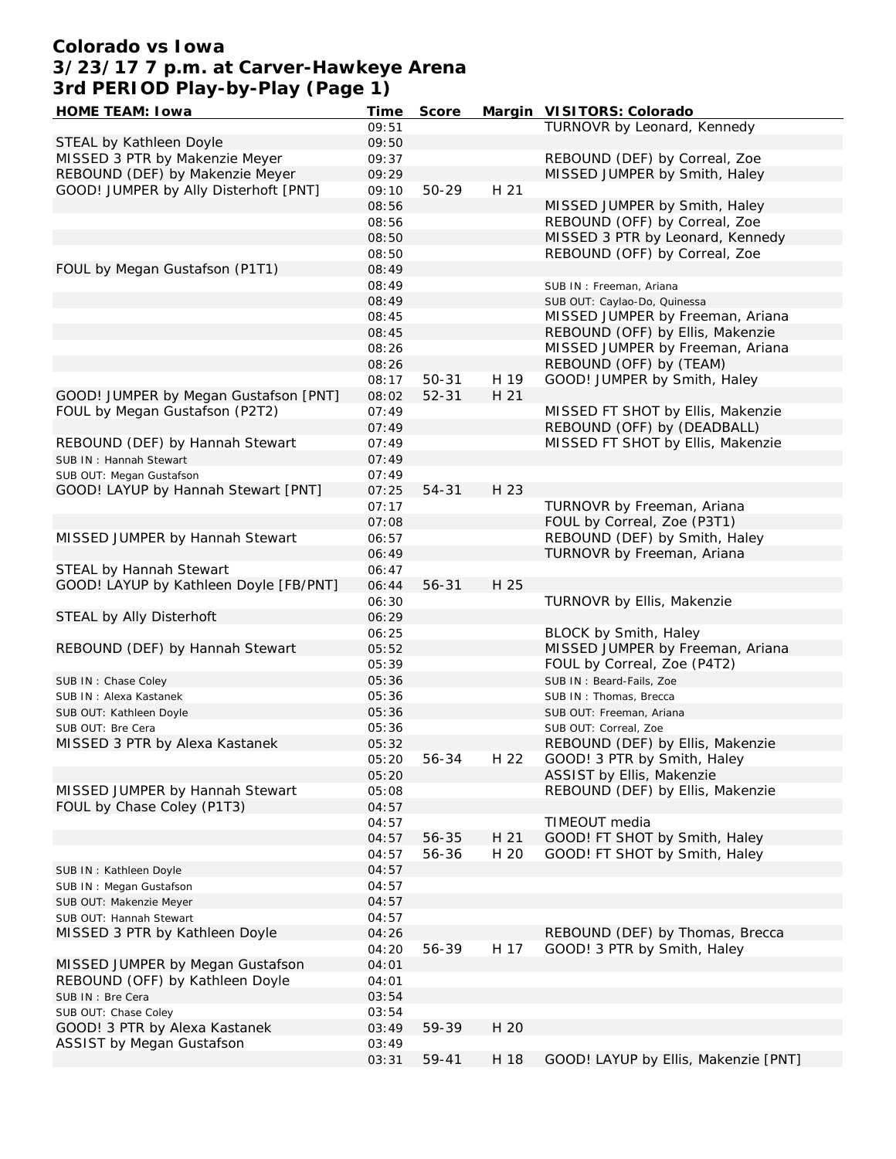## **Colorado vs Iowa 3/23/17 7 p.m. at Carver-Hawkeye Arena 3rd PERIOD Play-by-Play (Page 1)**

| HOME TEAM: I owa                       | Time  | Score     |      | Margin VISITORS: Colorado            |
|----------------------------------------|-------|-----------|------|--------------------------------------|
|                                        | 09:51 |           |      | TURNOVR by Leonard, Kennedy          |
| STEAL by Kathleen Doyle                | 09:50 |           |      |                                      |
| MISSED 3 PTR by Makenzie Meyer         | 09:37 |           |      | REBOUND (DEF) by Correal, Zoe        |
| REBOUND (DEF) by Makenzie Meyer        | 09:29 |           |      | MISSED JUMPER by Smith, Haley        |
| GOOD! JUMPER by Ally Disterhoft [PNT]  | 09:10 | 50-29     | H 21 |                                      |
|                                        |       |           |      | MISSED JUMPER by Smith, Haley        |
|                                        | 08:56 |           |      |                                      |
|                                        | 08:56 |           |      | REBOUND (OFF) by Correal, Zoe        |
|                                        | 08:50 |           |      | MISSED 3 PTR by Leonard, Kennedy     |
|                                        | 08:50 |           |      | REBOUND (OFF) by Correal, Zoe        |
| FOUL by Megan Gustafson (P1T1)         | 08:49 |           |      |                                      |
|                                        | 08:49 |           |      | SUB IN: Freeman, Ariana              |
|                                        | 08:49 |           |      | SUB OUT: Caylao-Do, Quinessa         |
|                                        | 08:45 |           |      | MISSED JUMPER by Freeman, Ariana     |
|                                        | 08:45 |           |      | REBOUND (OFF) by Ellis, Makenzie     |
|                                        | 08:26 |           |      | MISSED JUMPER by Freeman, Ariana     |
|                                        | 08:26 |           |      |                                      |
|                                        |       |           |      | REBOUND (OFF) by (TEAM)              |
|                                        | 08:17 | $50 - 31$ | H 19 | GOOD! JUMPER by Smith, Haley         |
| GOOD! JUMPER by Megan Gustafson [PNT]  | 08:02 | $52 - 31$ | H 21 |                                      |
| FOUL by Megan Gustafson (P2T2)         | 07:49 |           |      | MISSED FT SHOT by Ellis, Makenzie    |
|                                        | 07:49 |           |      | REBOUND (OFF) by (DEADBALL)          |
| REBOUND (DEF) by Hannah Stewart        | 07:49 |           |      | MISSED FT SHOT by Ellis, Makenzie    |
| SUB IN: Hannah Stewart                 | 07:49 |           |      |                                      |
| SUB OUT: Megan Gustafson               | 07:49 |           |      |                                      |
| GOOD! LAYUP by Hannah Stewart [PNT]    | 07:25 | 54-31     | H 23 |                                      |
|                                        | 07:17 |           |      | TURNOVR by Freeman, Ariana           |
|                                        |       |           |      |                                      |
|                                        | 07:08 |           |      | FOUL by Correal, Zoe (P3T1)          |
| MISSED JUMPER by Hannah Stewart        | 06:57 |           |      | REBOUND (DEF) by Smith, Haley        |
|                                        | 06:49 |           |      | TURNOVR by Freeman, Ariana           |
| STEAL by Hannah Stewart                | 06:47 |           |      |                                      |
| GOOD! LAYUP by Kathleen Doyle [FB/PNT] | 06:44 | 56-31     | H 25 |                                      |
|                                        | 06:30 |           |      | TURNOVR by Ellis, Makenzie           |
| STEAL by Ally Disterhoft               | 06:29 |           |      |                                      |
|                                        | 06:25 |           |      | BLOCK by Smith, Haley                |
| REBOUND (DEF) by Hannah Stewart        | 05:52 |           |      | MISSED JUMPER by Freeman, Ariana     |
|                                        | 05:39 |           |      | FOUL by Correal, Zoe (P4T2)          |
|                                        | 05:36 |           |      | SUB IN: Beard-Fails, Zoe             |
| SUB IN : Chase Coley                   |       |           |      |                                      |
| SUB IN: Alexa Kastanek                 | 05:36 |           |      | SUB IN: Thomas, Brecca               |
| SUB OUT: Kathleen Doyle                | 05:36 |           |      | SUB OUT: Freeman, Ariana             |
| SUB OUT: Bre Cera                      | 05:36 |           |      | SUB OUT: Correal, Zoe                |
| MISSED 3 PTR by Alexa Kastanek         | 05:32 |           |      | REBOUND (DEF) by Ellis, Makenzie     |
|                                        | 05:20 | 56-34     | H 22 | GOOD! 3 PTR by Smith, Haley          |
|                                        | 05:20 |           |      | ASSIST by Ellis, Makenzie            |
| MISSED JUMPER by Hannah Stewart        | 05:08 |           |      | REBOUND (DEF) by Ellis, Makenzie     |
| FOUL by Chase Coley (P1T3)             | 04:57 |           |      |                                      |
|                                        | 04:57 |           |      | TIMEOUT media                        |
|                                        | 04:57 | 56-35     | H 21 | GOOD! FT SHOT by Smith, Haley        |
|                                        |       |           |      |                                      |
|                                        | 04:57 | 56-36     | H 20 | GOOD! FT SHOT by Smith, Haley        |
| SUB IN: Kathleen Doyle                 | 04:57 |           |      |                                      |
| SUB IN: Megan Gustafson                | 04:57 |           |      |                                      |
| SUB OUT: Makenzie Meyer                | 04:57 |           |      |                                      |
| SUB OUT: Hannah Stewart                | 04:57 |           |      |                                      |
| MISSED 3 PTR by Kathleen Doyle         | 04:26 |           |      | REBOUND (DEF) by Thomas, Brecca      |
|                                        | 04:20 | 56-39     | H 17 | GOOD! 3 PTR by Smith, Haley          |
| MISSED JUMPER by Megan Gustafson       | 04:01 |           |      |                                      |
| REBOUND (OFF) by Kathleen Doyle        | 04:01 |           |      |                                      |
|                                        |       |           |      |                                      |
| SUB IN: Bre Cera                       | 03:54 |           |      |                                      |
| SUB OUT: Chase Coley                   | 03:54 |           |      |                                      |
| GOOD! 3 PTR by Alexa Kastanek          | 03:49 | 59-39     | H 20 |                                      |
| <b>ASSIST by Megan Gustafson</b>       | 03:49 |           |      |                                      |
|                                        | 03:31 | 59-41     | H 18 | GOOD! LAYUP by Ellis, Makenzie [PNT] |
|                                        |       |           |      |                                      |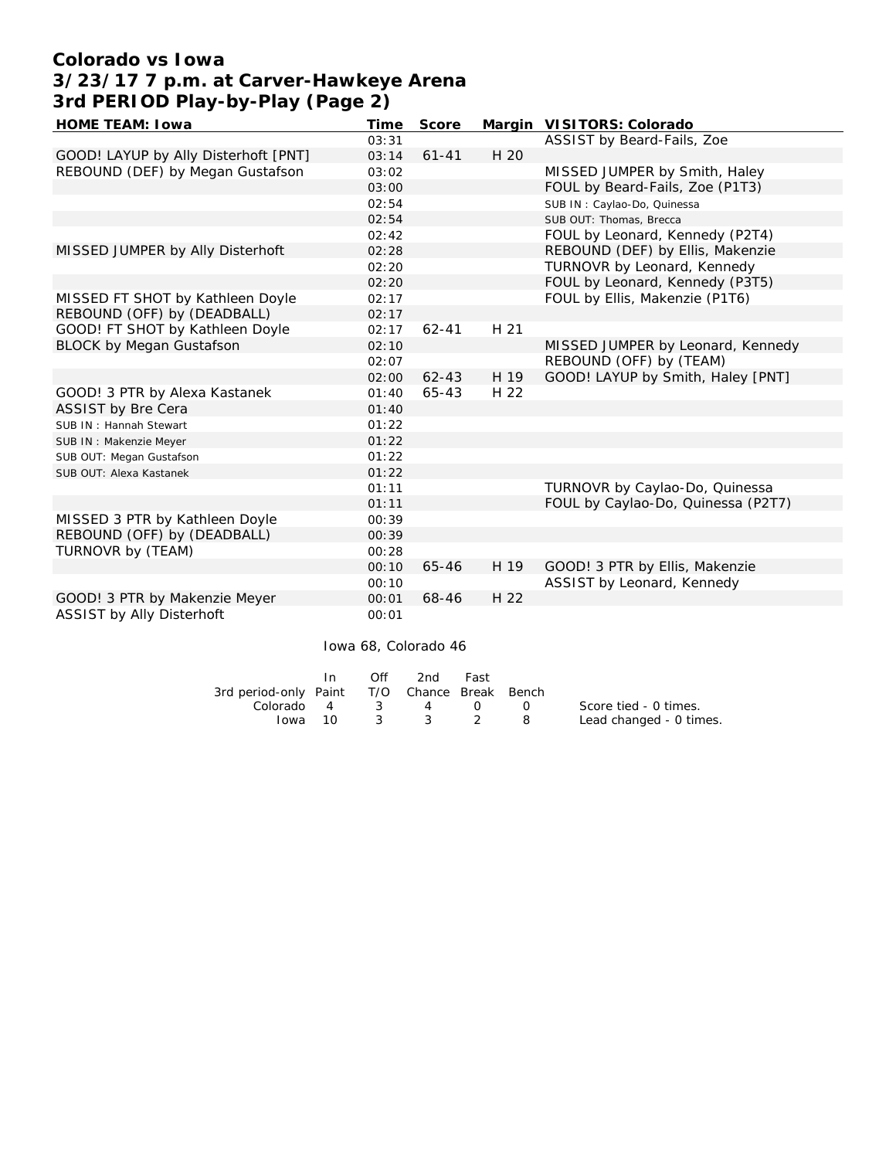# **Colorado vs Iowa 3/23/17 7 p.m. at Carver-Hawkeye Arena 3rd PERIOD Play-by-Play (Page 2)**

| HOME TEAM: I owa                     | Time  | Score     |      | Margin VISITORS: Colorado          |
|--------------------------------------|-------|-----------|------|------------------------------------|
|                                      | 03:31 |           |      | ASSIST by Beard-Fails, Zoe         |
| GOOD! LAYUP by Ally Disterhoft [PNT] | 03:14 | $61 - 41$ | H 20 |                                    |
| REBOUND (DEF) by Megan Gustafson     | 03:02 |           |      | MISSED JUMPER by Smith, Haley      |
|                                      | 03:00 |           |      | FOUL by Beard-Fails, Zoe (P1T3)    |
|                                      | 02:54 |           |      | SUB IN: Caylao-Do, Quinessa        |
|                                      | 02:54 |           |      | SUB OUT: Thomas, Brecca            |
|                                      | 02:42 |           |      | FOUL by Leonard, Kennedy (P2T4)    |
| MISSED JUMPER by Ally Disterhoft     | 02:28 |           |      | REBOUND (DEF) by Ellis, Makenzie   |
|                                      | 02:20 |           |      | TURNOVR by Leonard, Kennedy        |
|                                      | 02:20 |           |      | FOUL by Leonard, Kennedy (P3T5)    |
| MISSED FT SHOT by Kathleen Doyle     | 02:17 |           |      | FOUL by Ellis, Makenzie (P1T6)     |
| REBOUND (OFF) by (DEADBALL)          | 02:17 |           |      |                                    |
| GOOD! FT SHOT by Kathleen Doyle      | 02:17 | $62 - 41$ | H 21 |                                    |
| <b>BLOCK by Megan Gustafson</b>      | 02:10 |           |      | MISSED JUMPER by Leonard, Kennedy  |
|                                      | 02:07 |           |      | REBOUND (OFF) by (TEAM)            |
|                                      | 02:00 | $62 - 43$ | H 19 | GOOD! LAYUP by Smith, Haley [PNT]  |
| GOOD! 3 PTR by Alexa Kastanek        | 01:40 | $65 - 43$ | H 22 |                                    |
| ASSIST by Bre Cera                   | 01:40 |           |      |                                    |
| SUB IN: Hannah Stewart               | 01:22 |           |      |                                    |
| SUB IN : Makenzie Meyer              | 01:22 |           |      |                                    |
| SUB OUT: Megan Gustafson             | 01:22 |           |      |                                    |
| SUB OUT: Alexa Kastanek              | 01:22 |           |      |                                    |
|                                      | 01:11 |           |      | TURNOVR by Caylao-Do, Quinessa     |
|                                      | 01:11 |           |      | FOUL by Caylao-Do, Quinessa (P2T7) |
| MISSED 3 PTR by Kathleen Doyle       | 00:39 |           |      |                                    |
| REBOUND (OFF) by (DEADBALL)          | 00:39 |           |      |                                    |
| TURNOVR by (TEAM)                    | 00:28 |           |      |                                    |
|                                      | 00:10 | $65 - 46$ | H 19 | GOOD! 3 PTR by Ellis, Makenzie     |
|                                      | 00:10 |           |      | ASSIST by Leonard, Kennedy         |
| GOOD! 3 PTR by Makenzie Meyer        | 00:01 | $68 - 46$ | H 22 |                                    |
| ASSIST by Ally Disterhoft            | 00:01 |           |      |                                    |

Iowa 68, Colorado 46

|                                              | In.     | Off | 2nd Fast |              |                         |
|----------------------------------------------|---------|-----|----------|--------------|-------------------------|
| 3rd period-only Paint T/O Chance Break Bench |         |     |          |              |                         |
| Colorado $4$ $3$ $4$ $0$ $0$                 |         |     |          |              | Score tied - 0 times.   |
|                                              | lowa 10 |     | 3 3 2    | $\mathbf{R}$ | Lead changed - 0 times. |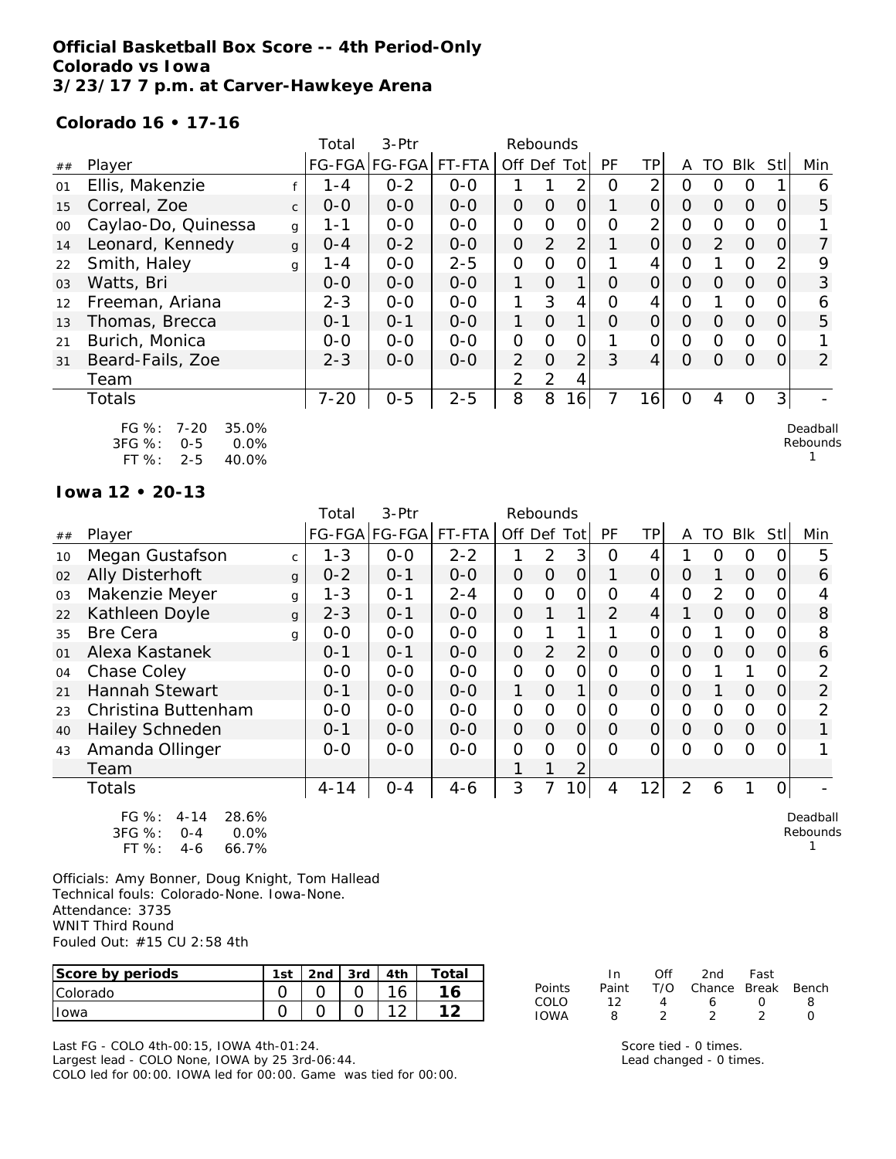## **Official Basketball Box Score -- 4th Period-Only Colorado vs Iowa 3/23/17 7 p.m. at Carver-Hawkeye Arena**

#### **Colorado 16 • 17-16**

|                |                                                                                 |              | Total    | $3-Ptr$       | Rebounds |               |                |                |          |                |                |                |                |            |                |
|----------------|---------------------------------------------------------------------------------|--------------|----------|---------------|----------|---------------|----------------|----------------|----------|----------------|----------------|----------------|----------------|------------|----------------|
| ##             | Player                                                                          |              |          | FG-FGA FG-FGA | FT-FTA   | Off Def       |                | Tot            | PF       | TPI            | A              | TO             | <b>Blk</b>     | <b>Stl</b> | Min            |
| 01             | Ellis, Makenzie                                                                 |              | $1 - 4$  | $0 - 2$       | $0-0$    |               |                | 2              | Ω        | 2              | $\overline{O}$ | 0              | 0              |            | 6              |
| 15             | Correal, Zoe                                                                    | $\mathsf{C}$ | $0 - 0$  | $O - O$       | $O - O$  | $\Omega$      | $\Omega$       | $\overline{O}$ |          | $\overline{O}$ | $\Omega$       | $\Omega$       | $\Omega$       | $\Omega$   | 5              |
| $00\,$         | Caylao-Do, Quinessa                                                             | g            | 1-1      | $0-0$         | $O-O$    | $\Omega$      | $\Omega$       | $\mathbf{O}$   | $\Omega$ | 2              | $\Omega$       | $\overline{0}$ | $\mathbf{O}$   | 0          |                |
| 14             | Leonard, Kennedy                                                                | g            | $0 - 4$  | $0 - 2$       | $O - O$  | $\Omega$      | 2              | $\overline{2}$ |          | $\overline{O}$ | $\Omega$       | 2              | $\Omega$       | $\Omega$   | 7              |
| 22             | Smith, Haley                                                                    | g            | $1 - 4$  | $0 - 0$       | $2 - 5$  | $\mathcal{O}$ | $\Omega$       | $\mathbf{O}$   |          | 4              | $\Omega$       |                | $\mathbf{O}$   | 2          | 9              |
| 0 <sub>3</sub> | Watts, Bri                                                                      |              | $0 - 0$  | $0 - 0$       | $0 - 0$  | 1             | $\Omega$       | 1              | $\Omega$ | $\Omega$       | $\Omega$       | $\Omega$       | $\Omega$       | $\Omega$   | 3              |
| 12             | Freeman, Ariana                                                                 |              | $2 - 3$  | $O-O$         | $O-O$    | 1             | 3              | 4              | $\Omega$ | 4              | $\Omega$       |                | $\mathcal{O}$  | 0          | 6              |
| 13             | Thomas, Brecca                                                                  |              | $0 - 1$  | $O - 1$       | $0 - 0$  | 1             | $\overline{O}$ | 1              | $\Omega$ | $\Omega$       | $\overline{O}$ | $\Omega$       | $\overline{O}$ | O          | 5              |
| 21             | Burich, Monica                                                                  |              | $0-0$    | $0-0$         | $0-0$    | $\mathcal{O}$ | $\Omega$       | $\mathbf{O}$   |          | $\Omega$       | $\Omega$       | $\Omega$       | $\Omega$       | $\Omega$   |                |
| 31             | Beard-Fails, Zoe                                                                |              | $2 - 3$  | $0-0$         | $O-O$    | 2             | $\overline{O}$ | $\overline{2}$ | 3        | $\overline{4}$ | $\Omega$       | $\Omega$       | $\Omega$       | $\Omega$   | $\overline{2}$ |
|                | Team                                                                            |              |          |               |          | 2             | $\overline{2}$ | 4              |          |                |                |                |                |            |                |
|                | <b>Totals</b>                                                                   |              | $7 - 20$ | $0 - 5$       | $2 - 5$  | 8             | 8              | 6              | 7        | 161            | $\Omega$       | 4              | $\Omega$       | 3          |                |
|                | 35.0%<br>FG %:<br>$7 - 20$<br>Deadball<br>3FG %:<br>Rebound:<br>0.0%<br>$0 - 5$ |              |          |               |          |               |                |                |          |                |                |                |                |            |                |

FT %: 2-5 40.0%

 $\mathsf s$ 1

#### **Iowa 12 • 20-13**

|    |                                              |              | Total    | $3-Ptr$       | Rebounds |                |                |             |                |                |                |                |          |                |                |
|----|----------------------------------------------|--------------|----------|---------------|----------|----------------|----------------|-------------|----------------|----------------|----------------|----------------|----------|----------------|----------------|
| ## | Player                                       |              |          | FG-FGA FG-FGA | FT-FTA   | Off            | Def            | Tot         | <b>PF</b>      | TP             | A              | TO             | Blk      | Stll           | Min            |
| 10 | Megan Gustafson                              | $\mathsf{C}$ | $1 - 3$  | $0-0$         | $2 - 2$  |                | 2              | 3           | O              | 4              |                | Ο              | O        | O              | 5              |
| 02 | <b>Ally Disterhoft</b>                       | $\mathbf{q}$ | $0 - 2$  | $O - 1$       | $0-0$    | $\overline{O}$ | $\Omega$       | 0           | 1              | $\overline{O}$ | O              |                | $\Omega$ | 0              | 6              |
| 03 | Makenzie Meyer                               | g            | $1 - 3$  | $O - 1$       | $2 - 4$  | $\Omega$       | $\Omega$       | 0           | $\Omega$       | 4              | 0              | 2              | $\Omega$ | 0              | 4              |
| 22 | Kathleen Doyle                               | g            | $2 - 3$  | $O - 1$       | $O-O$    | $\overline{O}$ |                | 1           | $\overline{2}$ | 4              | 1              | $\Omega$       | 0        | 0              | 8              |
| 35 | <b>Bre Cera</b>                              | q            | $O-O$    | $0 - 0$       | $O-O$    | $\Omega$       |                | 1           |                | Ω              | $\Omega$       |                | $\Omega$ | 0              | 8              |
| 01 | Alexa Kastanek                               |              | $0 - 1$  | $O - 1$       | $O-O$    | $\Omega$       | 2              | 2           | $\Omega$       | $\overline{O}$ | $\Omega$       | $\Omega$       | $\Omega$ | $\overline{O}$ | 6              |
| 04 | Chase Coley                                  |              | $0-0$    | $O-O$         | $O-O$    | 0              | $\Omega$       | O           | $\overline{O}$ | 0              | Ω              |                |          | 0              | 2              |
| 21 | <b>Hannah Stewart</b>                        |              | $0 - 1$  | $0 - 0$       | $O-O$    | 1              | $\Omega$       | $\mathbf 1$ | $\Omega$       | $\Omega$       | $\Omega$       |                | $\Omega$ | 0              | $\overline{2}$ |
| 23 | Christina Buttenham                          |              | $O-O$    | $O-O$         | $O-O$    | $\overline{O}$ | $\Omega$       | 0           | $\overline{O}$ | 0              | $\overline{O}$ | $\Omega$       | $\Omega$ | 0              | 2              |
| 40 | <b>Hailey Schneden</b>                       |              | $O - 1$  | $0-0$         | $O-O$    | $\overline{O}$ | $\overline{O}$ | $\Omega$    | $\Omega$       | 0              | $\Omega$       | $\overline{O}$ | $\Omega$ | 0              |                |
| 43 | Amanda Ollinger                              |              | $O-O$    | $0-0$         | $O-O$    | $\Omega$       | $\Omega$       | $\Omega$    | $\Omega$       | Ω              | $\Omega$       | $\Omega$       | Ω        | 0              |                |
|    | Team                                         |              |          |               |          |                |                | 2           |                |                |                |                |          |                |                |
|    | Totals                                       |              | $4 - 14$ | $O - 4$       | $4 - 6$  | 3              |                | 10          | 4              | 121            | $\overline{2}$ | 6              | 1        | $\mathcal{O}$  |                |
|    | $\Gamma \cap \Omega'$ , $\Lambda$ 1.1<br>20K |              |          |               |          |                |                |             |                |                |                |                |          |                | $D = -16 - 1$  |

| FG $\%$ :  | 4-14    | 28.6%   |
|------------|---------|---------|
| $3FG \%$ : | $O - 4$ | $0.0\%$ |
| $FT\%$ :   | 4-6     | 66.7%   |

Officials: Amy Bonner, Doug Knight, Tom Hallead Technical fouls: Colorado-None. Iowa-None. Attendance: 3735 WNIT Third Round Fouled Out: #15 CU 2:58 4th

| Score by periods | $1c+$ | 2nd | 3rd | 4 <sub>th</sub> | ™otai |
|------------------|-------|-----|-----|-----------------|-------|
| <b>Colorado</b>  |       |     |     |                 |       |
| Towa             |       |     |     |                 |       |

Last FG - COLO 4th-00:15, IOWA 4th-01:24. Largest lead - COLO None, IOWA by 25 3rd-06:44. COLO led for 00:00. IOWA led for 00:00. Game was tied for 00:00.

|        | In.   | ∩ff | 2nd -                  | Fast             |              |
|--------|-------|-----|------------------------|------------------|--------------|
| Points | Paint |     | T/O Chance Break Bench |                  |              |
| COLO   | 12    | Δ   | 6.                     | $\left( \right)$ | я            |
| IOWA   | Я     |     |                        |                  | $\mathbf{I}$ |

Score tied - 0 times. Lead changed - 0 times.

Deadball Rebounds 1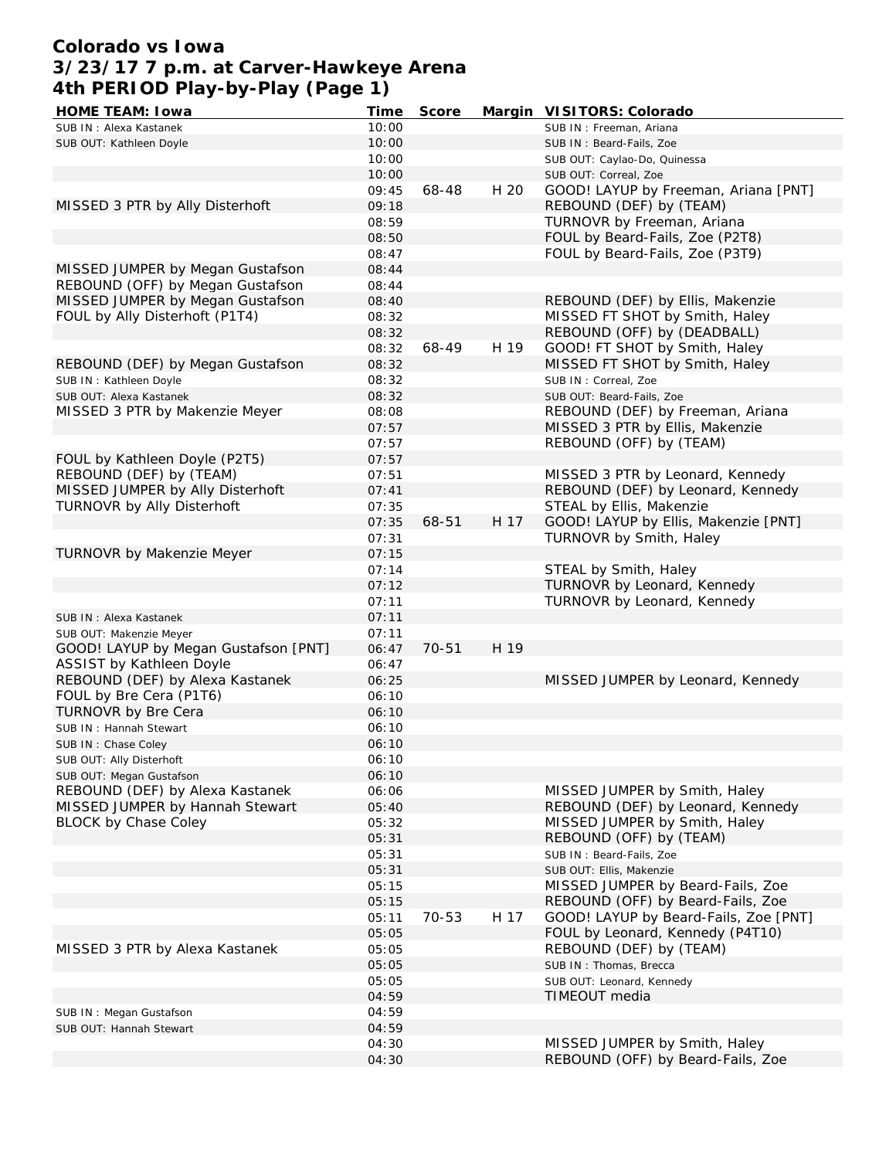# **Colorado vs Iowa 3/23/17 7 p.m. at Carver-Hawkeye Arena 4th PERIOD Play-by-Play (Page 1)**

| HOME TEAM: I owa                     | Time  | Score |      | Margin VISITORS: Colorado             |
|--------------------------------------|-------|-------|------|---------------------------------------|
| SUB IN: Alexa Kastanek               | 10:00 |       |      | SUB IN: Freeman, Ariana               |
| SUB OUT: Kathleen Doyle              | 10:00 |       |      | SUB IN: Beard-Fails, Zoe              |
|                                      | 10:00 |       |      | SUB OUT: Caylao-Do, Quinessa          |
|                                      | 10:00 |       |      | SUB OUT: Correal, Zoe                 |
|                                      | 09:45 | 68-48 | H 20 | GOOD! LAYUP by Freeman, Ariana [PNT]  |
| MISSED 3 PTR by Ally Disterhoft      | 09:18 |       |      | REBOUND (DEF) by (TEAM)               |
|                                      | 08:59 |       |      | TURNOVR by Freeman, Ariana            |
|                                      | 08:50 |       |      | FOUL by Beard-Fails, Zoe (P2T8)       |
|                                      | 08:47 |       |      | FOUL by Beard-Fails, Zoe (P3T9)       |
| MISSED JUMPER by Megan Gustafson     | 08:44 |       |      |                                       |
| REBOUND (OFF) by Megan Gustafson     | 08:44 |       |      |                                       |
| MISSED JUMPER by Megan Gustafson     | 08:40 |       |      | REBOUND (DEF) by Ellis, Makenzie      |
| FOUL by Ally Disterhoft (P1T4)       | 08:32 |       |      | MISSED FT SHOT by Smith, Haley        |
|                                      | 08:32 |       |      | REBOUND (OFF) by (DEADBALL)           |
|                                      | 08:32 | 68-49 | H 19 | GOOD! FT SHOT by Smith, Haley         |
| REBOUND (DEF) by Megan Gustafson     | 08:32 |       |      | MISSED FT SHOT by Smith, Haley        |
|                                      |       |       |      |                                       |
| SUB IN: Kathleen Doyle               | 08:32 |       |      | SUB IN: Correal, Zoe                  |
| SUB OUT: Alexa Kastanek              | 08:32 |       |      | SUB OUT: Beard-Fails, Zoe             |
| MISSED 3 PTR by Makenzie Meyer       | 08:08 |       |      | REBOUND (DEF) by Freeman, Ariana      |
|                                      | 07:57 |       |      | MISSED 3 PTR by Ellis, Makenzie       |
|                                      | 07:57 |       |      | REBOUND (OFF) by (TEAM)               |
| FOUL by Kathleen Doyle (P2T5)        | 07:57 |       |      |                                       |
| REBOUND (DEF) by (TEAM)              | 07:51 |       |      | MISSED 3 PTR by Leonard, Kennedy      |
| MISSED JUMPER by Ally Disterhoft     | 07:41 |       |      | REBOUND (DEF) by Leonard, Kennedy     |
| TURNOVR by Ally Disterhoft           | 07:35 |       |      | STEAL by Ellis, Makenzie              |
|                                      | 07:35 | 68-51 | H 17 | GOOD! LAYUP by Ellis, Makenzie [PNT]  |
|                                      | 07:31 |       |      | TURNOVR by Smith, Haley               |
| TURNOVR by Makenzie Meyer            | 07:15 |       |      |                                       |
|                                      | 07:14 |       |      | STEAL by Smith, Haley                 |
|                                      | 07:12 |       |      | TURNOVR by Leonard, Kennedy           |
|                                      | 07:11 |       |      | TURNOVR by Leonard, Kennedy           |
| SUB IN: Alexa Kastanek               | 07:11 |       |      |                                       |
| SUB OUT: Makenzie Meyer              | 07:11 |       |      |                                       |
| GOOD! LAYUP by Megan Gustafson [PNT] | 06:47 | 70-51 | H 19 |                                       |
| ASSIST by Kathleen Doyle             | 06:47 |       |      |                                       |
| REBOUND (DEF) by Alexa Kastanek      | 06:25 |       |      | MISSED JUMPER by Leonard, Kennedy     |
| FOUL by Bre Cera (P1T6)              | 06:10 |       |      |                                       |
| TURNOVR by Bre Cera                  | 06:10 |       |      |                                       |
| SUB IN: Hannah Stewart               | 06:10 |       |      |                                       |
| SUB IN: Chase Coley                  | 06:10 |       |      |                                       |
| SUB OUT: Ally Disterhoft             | 06:10 |       |      |                                       |
| SUB OUT: Megan Gustafson             | 06:10 |       |      |                                       |
| REBOUND (DEF) by Alexa Kastanek      | 06:06 |       |      | MISSED JUMPER by Smith, Haley         |
| MISSED JUMPER by Hannah Stewart      | 05:40 |       |      | REBOUND (DEF) by Leonard, Kennedy     |
| BLOCK by Chase Coley                 | 05:32 |       |      | MISSED JUMPER by Smith, Haley         |
|                                      | 05:31 |       |      | REBOUND (OFF) by (TEAM)               |
|                                      | 05:31 |       |      | SUB IN: Beard-Fails, Zoe              |
|                                      | 05:31 |       |      | SUB OUT: Ellis, Makenzie              |
|                                      | 05:15 |       |      | MISSED JUMPER by Beard-Fails, Zoe     |
|                                      | 05:15 |       |      | REBOUND (OFF) by Beard-Fails, Zoe     |
|                                      | 05:11 | 70-53 | H 17 | GOOD! LAYUP by Beard-Fails, Zoe [PNT] |
|                                      | 05:05 |       |      | FOUL by Leonard, Kennedy (P4T10)      |
| MISSED 3 PTR by Alexa Kastanek       | 05:05 |       |      | REBOUND (DEF) by (TEAM)               |
|                                      | 05:05 |       |      | SUB IN: Thomas, Brecca                |
|                                      | 05:05 |       |      | SUB OUT: Leonard, Kennedy             |
|                                      | 04:59 |       |      | TIMEOUT media                         |
| SUB IN: Megan Gustafson              | 04:59 |       |      |                                       |
| SUB OUT: Hannah Stewart              | 04:59 |       |      |                                       |
|                                      | 04:30 |       |      | MISSED JUMPER by Smith, Haley         |
|                                      | 04:30 |       |      | REBOUND (OFF) by Beard-Fails, Zoe     |
|                                      |       |       |      |                                       |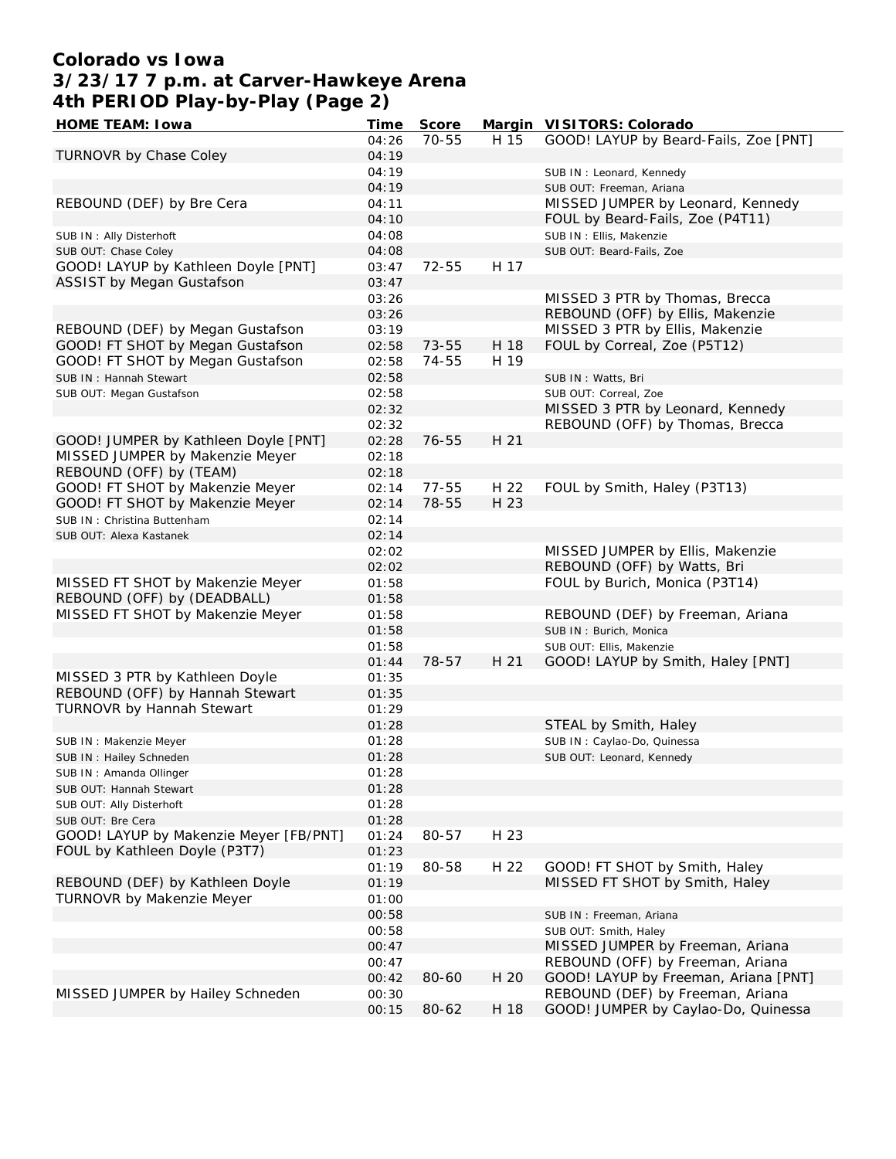# **Colorado vs Iowa 3/23/17 7 p.m. at Carver-Hawkeye Arena 4th PERIOD Play-by-Play (Page 2)**

| HOME TEAM: I owa                       | Time  | Score |      | Margin VISITORS: Colorado             |
|----------------------------------------|-------|-------|------|---------------------------------------|
|                                        | 04:26 | 70-55 | H 15 | GOOD! LAYUP by Beard-Fails, Zoe [PNT] |
| TURNOVR by Chase Coley                 | 04:19 |       |      |                                       |
|                                        | 04:19 |       |      | SUB IN: Leonard, Kennedy              |
|                                        | 04:19 |       |      | SUB OUT: Freeman, Ariana              |
| REBOUND (DEF) by Bre Cera              | 04:11 |       |      | MISSED JUMPER by Leonard, Kennedy     |
|                                        | 04:10 |       |      | FOUL by Beard-Fails, Zoe (P4T11)      |
|                                        |       |       |      |                                       |
| SUB IN: Ally Disterhoft                | 04:08 |       |      | SUB IN: Ellis, Makenzie               |
| SUB OUT: Chase Coley                   | 04:08 |       |      | SUB OUT: Beard-Fails, Zoe             |
| GOOD! LAYUP by Kathleen Doyle [PNT]    | 03:47 | 72-55 | H 17 |                                       |
| <b>ASSIST by Megan Gustafson</b>       | 03:47 |       |      |                                       |
|                                        | 03:26 |       |      | MISSED 3 PTR by Thomas, Brecca        |
|                                        | 03:26 |       |      | REBOUND (OFF) by Ellis, Makenzie      |
| REBOUND (DEF) by Megan Gustafson       | 03:19 |       |      | MISSED 3 PTR by Ellis, Makenzie       |
| GOOD! FT SHOT by Megan Gustafson       | 02:58 | 73-55 | H 18 | FOUL by Correal, Zoe (P5T12)          |
| GOOD! FT SHOT by Megan Gustafson       | 02:58 | 74-55 | H 19 |                                       |
| SUB IN: Hannah Stewart                 | 02:58 |       |      | SUB IN: Watts, Bri                    |
| SUB OUT: Megan Gustafson               | 02:58 |       |      | SUB OUT: Correal, Zoe                 |
|                                        | 02:32 |       |      | MISSED 3 PTR by Leonard, Kennedy      |
|                                        | 02:32 |       |      | REBOUND (OFF) by Thomas, Brecca       |
|                                        |       | 76-55 | H 21 |                                       |
| GOOD! JUMPER by Kathleen Doyle [PNT]   | 02:28 |       |      |                                       |
| MISSED JUMPER by Makenzie Meyer        | 02:18 |       |      |                                       |
| REBOUND (OFF) by (TEAM)                | 02:18 |       |      |                                       |
| GOOD! FT SHOT by Makenzie Meyer        | 02:14 | 77-55 | H 22 | FOUL by Smith, Haley (P3T13)          |
| GOOD! FT SHOT by Makenzie Meyer        | 02:14 | 78-55 | H 23 |                                       |
| SUB IN: Christina Buttenham            | 02:14 |       |      |                                       |
| SUB OUT: Alexa Kastanek                | 02:14 |       |      |                                       |
|                                        | 02:02 |       |      | MISSED JUMPER by Ellis, Makenzie      |
|                                        | 02:02 |       |      | REBOUND (OFF) by Watts, Bri           |
| MISSED FT SHOT by Makenzie Meyer       | 01:58 |       |      | FOUL by Burich, Monica (P3T14)        |
| REBOUND (OFF) by (DEADBALL)            | 01:58 |       |      |                                       |
| MISSED FT SHOT by Makenzie Meyer       | 01:58 |       |      | REBOUND (DEF) by Freeman, Ariana      |
|                                        | 01:58 |       |      | SUB IN: Burich, Monica                |
|                                        | 01:58 |       |      |                                       |
|                                        |       | 78-57 | H 21 | SUB OUT: Ellis, Makenzie              |
|                                        | 01:44 |       |      | GOOD! LAYUP by Smith, Haley [PNT]     |
| MISSED 3 PTR by Kathleen Doyle         | 01:35 |       |      |                                       |
| REBOUND (OFF) by Hannah Stewart        | 01:35 |       |      |                                       |
| TURNOVR by Hannah Stewart              | 01:29 |       |      |                                       |
|                                        | 01:28 |       |      | STEAL by Smith, Haley                 |
| SUB IN: Makenzie Meyer                 | 01:28 |       |      | SUB IN: Caylao-Do, Quinessa           |
| SUB IN: Hailey Schneden                | 01:28 |       |      | SUB OUT: Leonard, Kennedy             |
| SUB IN: Amanda Ollinger                | 01:28 |       |      |                                       |
| SUB OUT: Hannah Stewart                | 01:28 |       |      |                                       |
| SUB OUT: Ally Disterhoft               | 01:28 |       |      |                                       |
| SUB OUT: Bre Cera                      | 01:28 |       |      |                                       |
| GOOD! LAYUP by Makenzie Meyer [FB/PNT] | 01:24 | 80-57 | H 23 |                                       |
| FOUL by Kathleen Doyle (P3T7)          | 01:23 |       |      |                                       |
|                                        | 01:19 | 80-58 | H 22 | GOOD! FT SHOT by Smith, Haley         |
|                                        |       |       |      |                                       |
| REBOUND (DEF) by Kathleen Doyle        | 01:19 |       |      | MISSED FT SHOT by Smith, Haley        |
| TURNOVR by Makenzie Meyer              | 01:00 |       |      |                                       |
|                                        | 00:58 |       |      | SUB IN: Freeman, Ariana               |
|                                        | 00:58 |       |      | SUB OUT: Smith, Haley                 |
|                                        | 00:47 |       |      | MISSED JUMPER by Freeman, Ariana      |
|                                        | 00:47 |       |      | REBOUND (OFF) by Freeman, Ariana      |
|                                        | 00:42 | 80-60 | H 20 | GOOD! LAYUP by Freeman, Ariana [PNT]  |
| MISSED JUMPER by Hailey Schneden       | 00:30 |       |      | REBOUND (DEF) by Freeman, Ariana      |
|                                        | 00:15 | 80-62 | H 18 | GOOD! JUMPER by Caylao-Do, Quinessa   |
|                                        |       |       |      |                                       |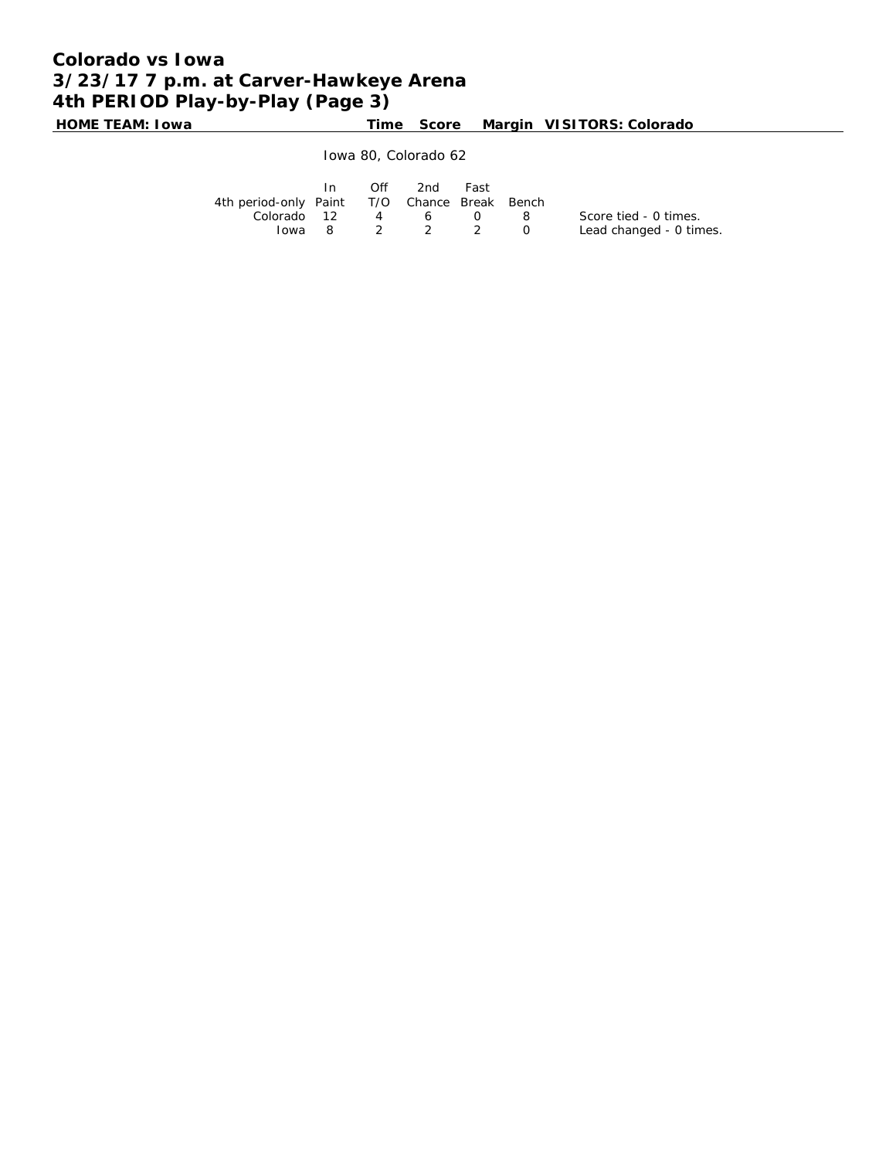# **Colorado vs Iowa 3/23/17 7 p.m. at Carver-Hawkeye Arena 4th PERIOD Play-by-Play (Page 3)**

**HOME TEAM: Iowa Time Score Margin VISITORS: Colorado**

Iowa 80, Colorado 62

|                                              | $\mathsf{In}$ | $\bigcap \{f\}$ | 2nd            | Fast |            |                         |
|----------------------------------------------|---------------|-----------------|----------------|------|------------|-------------------------|
| 4th period-only Paint T/O Chance Break Bench |               |                 |                |      |            |                         |
| Colorado 12                                  |               |                 | 4 6            |      | $\Omega$ 8 | Score tied - 0 times.   |
|                                              |               |                 | lowa 8 2 2 2 0 |      |            | Lead changed - 0 times. |